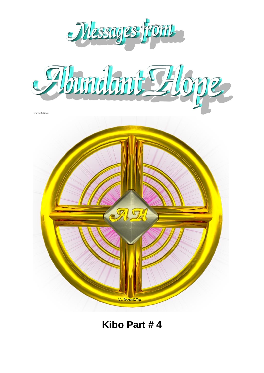

**Kibo Part # 4**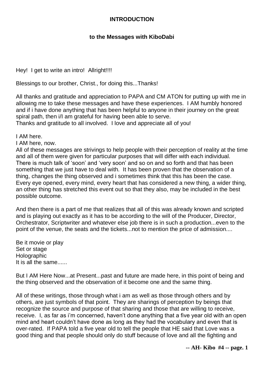## **INTRODUCTION**

## **to the Messages with KiboDabi**

Hey! I get to write an intro! Allright!!!!

Blessings to our brother, Christ., for doing this...Thanks!

All thanks and gratitude and appreciation to PAPA and CM ATON for putting up with me in allowing me to take these messages and have these experiences. I AM humbly honored and if i have done anything that has been helpful to anyone in their journey on the great spiral path, then i/I am grateful for having been able to serve.

Thanks and gratitude to all involved. I love and appreciate all of you!

I AM here.

I AM here, now.

All of these messages are strivings to help people with their perception of reality at the time and all of them were given for particular purposes that will differ with each individual. There is much talk of 'soon' and 'very soon' and so on and so forth and that has been something that we just have to deal with. It has been proven that the observation of a thing, changes the thing observed and i sometimes think that this has been the case. Every eye opened, every mind, every heart that has considered a new thing, a wider thing, an other thing has stretched this event out so that they also, may be included in the best possible outcome.

And then there is a part of me that realizes that all of this was already known and scripted and is playing out exactly as it has to be according to the will of the Producer, Director, Orchestrator, Scriptwriter and whatever else job there is in such a production...even to the point of the venue, the seats and the tickets...not to mention the price of admission....

Be it movie or play Set or stage **Holographic** It is all the same......

But I AM Here Now...at Present...past and future are made here, in this point of being and the thing observed and the observation of it become one and the same thing.

All of these writings, those through what i am as well as those through others and by others, are just symbols of that point. They are sharings of perception by beings that recognize the source and purpose of that sharing and those that are willing to receive, receive. I, as far as i'm concerned, haven't done anything that a five year old with an open mind and heart couldn't have done as long as they had the vocabulary and even that is over-rated. If PAPA told a five year old to tell the people that HE said that Love was a good thing and that people should only do stuff because of love and all the fighting and

**-- AH- Kibo #4 -- page. 1**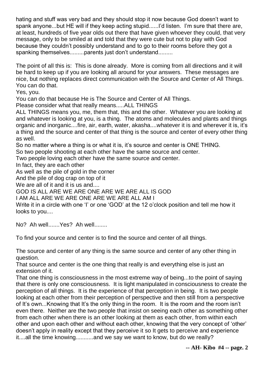hating and stuff was very bad and they should stop it now because God doesn't want to spank anyone...but HE will if they keep acting stupid......I'd listen. I'm sure that there are, at least, hundreds of five year olds out there that have given whoever they could, that very message, only to be smiled at and told that they were cute but not to play with God because they couldn't possibly understand and to go to their rooms before they got a spanking themselves.........parents just don't understand.........

The point of all this is: This is done already. More is coming from all directions and it will be hard to keep up if you are looking all around for your answers. These messages are nice, but nothing replaces direct communication with the Source and Center of All Things. You can do that.

Yes, you.

You can do that because He is The Source and Center of All Things.

Please consider what that really means.....ALL THINGS

ALL THINGS means you, me, them that, this and the other. Whatever you are looking at and whatever is looking at you, is a thing. The atoms and molecules and plants and things organic and inorganic....fire, air, earth, water, akasha....whatever it is and wherever it is, it's a thing and the source and center of that thing is the source and center of every other thing as well.

So no matter where a thing is or what it is, it's source and center is ONE THING.

So two people shooting at each other have the same source and center.

Two people loving each other have the same source and center.

In fact, they are each other

As well as the pile of gold in the corner

And the pile of dog crap on top of it

We are all of it and it is us and....

GOD IS ALL ARE WE ARE ONE ARE WE ARE ALL IS GOD

I AM ALL ARE WE ARE ONE ARE WE ARE ALL AM I

Write it in a circle with one 'I' or one 'GOD' at the 12 o'clock position and tell me how it looks to you....

No? Ah well.......Yes? Ah well........

To find your source and center is to find the source and center of all things.

The source and center of any thing is the same source and center of any other thing in question.

That source and center is the one thing that really is and everything else is just an extension of it.

That one thing is consciousness in the most extreme way of being...to the point of saying that there is only one consciousness. It is light manipulated in consciousness to create the perception of all things. It is the experience of that perception in being. It is two people looking at each other from their perception of perspective and then still from a perspective of It's own...Knowing that It's the only thing in the room. It is the room and the room isn't even there. Neither are the two people that insist on seeing each other as something other from each other when there is an other looking at them as each other, from within each other and upon each other and without each other, knowing that the very concept of 'other' doesn't apply in reality except that they perceive it so It gets to perceive and experience it....all the time knowing...........and we say we want to know, but do we really?

**-- AH- Kibo #4 -- page. 2**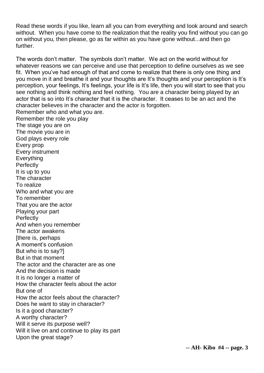Read these words if you like, learn all you can from everything and look around and search without. When you have come to the realization that the reality you find without you can go on without you, then please, go as far within as you have gone without...and then go further.

The words don't matter. The symbols don't matter. We act on the world without for whatever reasons we can perceive and use that perception to define ourselves as we see fit. When you've had enough of that and come to realize that there is only one thing and you move in it and breathe it and your thoughts are It's thoughts and your perception is It's perception, your feelings, It's feelings, your life is It's life, then you will start to see that you see nothing and think nothing and feel nothing. You are a character being played by an actor that is so into It's character that it is the character. It ceases to be an act and the character believes in the character and the actor is forgotten. Remember who and what you are. Remember the role you play The stage you are on The movie you are in God plays every role Every prop Every instrument Everything **Perfectly** It is up to you The character To realize Who and what you are To remember That you are the actor Playing your part **Perfectly** And when you remember The actor awakens [there is, perhaps A moment's confusion But who is to say?] But in that moment The actor and the character are as one And the decision is made It is no longer a matter of How the character feels about the actor But one of How the actor feels about the character? Does he want to stay in character? Is it a good character? A worthy character? Will it serve its purpose well? Will it live on and continue to play its part Upon the great stage?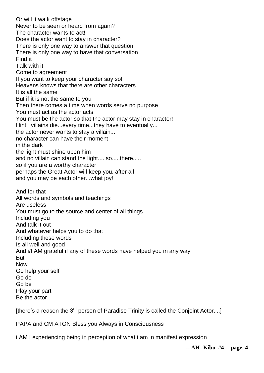Or will it walk offstage Never to be seen or heard from again? The character wants to act! Does the actor want to stay in character? There is only one way to answer that question There is only one way to have that conversation Find it Talk with it Come to agreement If you want to keep your character say so! Heavens knows that there are other characters It is all the same But if it is not the same to you Then there comes a time when words serve no purpose You must act as the actor acts! You must be the actor so that the actor may stay in character! Hint: villains die...every time...they have to eventually... the actor never wants to stay a villain... no character can have their moment in the dark the light must shine upon him and no villain can stand the light.....so.....there..... so if you are a worthy character perhaps the Great Actor will keep you, after all and you may be each other...what joy! And for that All words and symbols and teachings Are useless You must go to the source and center of all things Including you And talk it out And whatever helps you to do that Including these words Is all well and good And i/I AM grateful if any of these words have helped you in any way But Now Go help your self Go do Go be Play your part Be the actor

[there's a reason the  $3^{rd}$  person of Paradise Trinity is called the Conjoint Actor....]

PAPA and CM ATON Bless you Always in Consciousness

i AM I experiencing being in perception of what i am in manifest expression

**-- AH- Kibo #4 -- page. 4**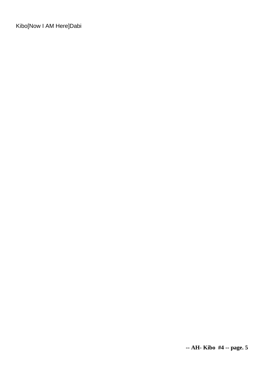Kibo[Now I AM Here]Dabi

**-- AH- Kibo #4 -- page. 5**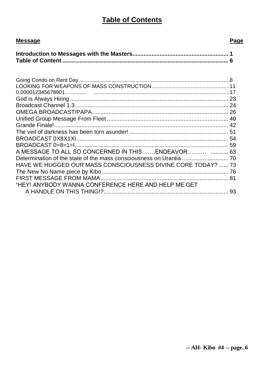# **Table of Contents**

| <b>Message</b>                                               | Page |
|--------------------------------------------------------------|------|
|                                                              |      |
|                                                              |      |
|                                                              |      |
|                                                              |      |
|                                                              |      |
|                                                              |      |
|                                                              |      |
| A MESSAGE TO ALL SO CONCERNED IN THISENDEAVOR  63            |      |
| HAVE WE HUGGED OUR MASS CONSCIOUSNESS DIVINE CORE TODAY?  73 |      |
| "HEY! ANYBODY WANNA CONFERENCE HERE AND HELP ME GET          |      |
|                                                              |      |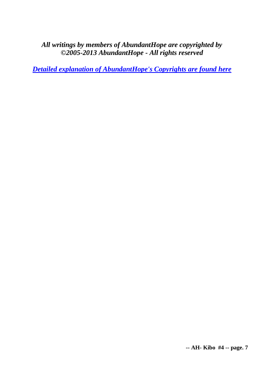## *All writings by members of AbundantHope are copyrighted by ©2005-2013 AbundantHope - All rights reserved*

*[Detailed explanation of AbundantHope's Copyrights are found here](http://abundanthope.net/pages/AbundantHope_1/Copyright_-_Terms_amp_Conditions_517.shtml)*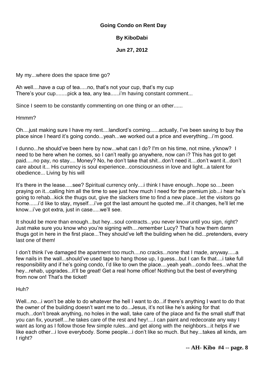#### **Going Condo on Rent Day**

#### **By KiboDabi**

**Jun 27, 2012**

My my...where does the space time go?

Ah well....have a cup of tea.....no, that's not your cup, that's my cup There's your cup........pick a tea, any tea......i'm having constant comment...

Since I seem to be constantly commenting on one thing or an other......

Hmmm?

Oh....just making sure I have my rent....landlord's coming......actually, I've been saving to buy the place since I heard it's going condo...yeah...we worked out a price and everything...i'm good.

I dunno...he should've been here by now...what can I do? I'm on his time, not mine, y'know? I need to be here when he comes, so I can't really go anywhere, now can i? This has got to get paid.....no pay, no stay.... Money? No, he don't take that shit...don't need it....don't want it...don't care about it... His currency is soul experience...consciousness in love and light...a talent for obedience... Living by his will

It's there in the lease.....see? Spiritual currency only....i think I have enough...hope so....been praying on it...calling him all the time to see just how much I need for the premium job...i hear he's going to rehab...kick the thugs out, give the slackers time to find a new place...let the visitors go home......i'd like to stay, myself....i've got the last amount he quoted me...if it changes, he'll let me know...i've got extra, just in case.....we'll see.

It should be more than enough...but hey...soul contracts...you never know until you sign, right? Just make sure you know who you're signing with....remember Lucy? That's how them damn thugs got in here in the first place...They should've left the building when he did...pretenders, every last one of them!

I don't think I've damaged the apartment too much....no cracks...none that I made, anyway.....a few nails in the wall...should've used tape to hang those up, I guess...but I can fix that....i take full responsibility and if he's going condo, I'd like to own the place....yeah yeah...condo fees...what the hey...rehab, upgrades...it'll be great! Get a real home office! Nothing but the best of everything from now on! That's the ticket!

Huh?

Well...no...i won't be able to do whatever the hell I want to do...if there's anything I want to do that the owner of the building doesn't want me to do...Jesus, it's not like he's asking for that much...don't break anything, no holes in the wall, take care of the place and fix the small stuff that you can fix, yourself....he takes care of the rest and hey!....I can paint and redecorate any way I want as long as I follow those few simple rules...and get along with the neighbors...it helps if we like each other...i love everybody. Some people...i don't like so much. But hey...takes all kinds, am I right?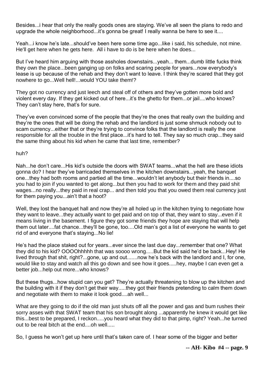Besides...i hear that only the really goods ones are staying. We've all seen the plans to redo and upgrade the whole neighborhood...it's gonna be great! I really wanna be here to see it....

Yeah...i know he's late...should've been here some time ago...like i said, his schedule, not mine. He'll get here when he gets here. All i have to do is be here when he does...

But I've heard him arguing with those assholes downstairs...yeah... them...dumb little fucks think they own the place...been ganging up on folks and scaring people for years...now everybody's lease is up because of the rehab and they don't want to leave. I think they're scared that they got nowhere to go...Well hell!...would YOU take them!?

They got no currency and just leech and steal off of others and they've gotten more bold and violent every day. If they get kicked out of here...it's the ghetto for them...or jail....who knows? They can't stay here, that's for sure.

They've even convinced some of the people that they're the ones that really own the building and they're the ones that will be doing the rehab and the landlord is just some shmuck nobody out to scam currency...either that or they're trying to convince folks that the landlord is really the one responsible for all the trouble in the first place...it's hard to tell. They say so much crap...they said the same thing about his kid when he came that last time, remember?

#### huh?

Nah...he don't care...His kid's outside the doors with SWAT teams...what the hell are these idiots gonna do? I hear they've barricaded themselves in the kitchen downstairs...yeah, the banquet one...they had both rooms and partied all the time...wouldn't let anybody but their friends in....so you had to join if you wanted to get along...but then you had to work for them and they paid shit wages...no really...they paid in real crap... and then told you that you owed them real currency just for them paying you...ain't that a hoot?

Well, they lost the banquet hall and now they're all holed up in the kitchen trying to negotiate how they want to leave...they actually want to get paid and on top of that, they want to stay...even if it means living in the basement. I figure they got some friends they hope are staying that will help them out later....fat chance...they'll be gone, too....Old man's got a list of everyone he wants to get rid of and everyone that's staying...No lie!

He's had the place staked out for years...ever since the last due day...remember that one? What they did to his kid? OOOOhhhhh that was soooo wrong.....But the kid said he'd be back...Hey! He lived through that shit, right?...gone, up and out.......now he's back with the landlord and I, for one, would like to stay and watch all this go down and see how it goes.....hey, maybe I can even get a better job...help out more...who knows?

But these thugs...how stupid can you get? They're actually threatening to blow up the kitchen and the building with it if they don't get their way.....they got their friends pretending to calm them down and negotiate with them to make it look good....ah well...

What are they going to do if the old man just shuts off all the power and gas and bum rushes their sorry asses with that SWAT team that his son brought along ...apparently he knew it would get like this...best to be prepared, I reckon.....you heard what they did to that pimp, right? Yeah...he turned out to be real bitch at the end...oh well...

So, I guess he won't get up here until that's taken care of. I hear some of the bigger and better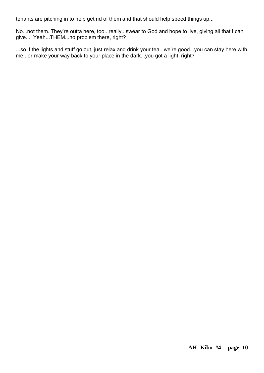tenants are pitching in to help get rid of them and that should help speed things up...

No...not them. They're outta here, too...really...swear to God and hope to live, giving all that I can give.... Yeah...THEM...no problem there, right?

...so if the lights and stuff go out, just relax and drink your tea...we're good...you can stay here with me...or make your way back to your place in the dark...you got a light, right?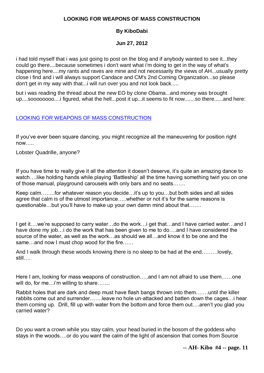#### **LOOKING FOR WEAPONS OF MASS CONSTRUCTION**

## **By KiboDabi**

## **Jun 27, 2012**

i had told myself that i was just going to post on the blog and if anybody wanted to see it...they could go there....because sometimes i don't want what i'm doing to get in the way of what's happening here....my rants and raves are mine and not necessarily the views of AH...usually pretty close i find and i will always support Candace and CM's 2nd Coming Organization...so please don't get in my way with that...i will run over you and not look back.....

but i was reading the thread about the new EO by clone Obama...and money was brought up....soooooooo....i figured, what the hell...post it up...it seems to fit now.......so there......and here:

## [LOOKING FOR WEAPONS OF MASS CONSTRUCTION](http://kibodabi.wordpress.com/2012/06/26/looking-for-weapons-of-mass-construction/)

If you've ever been square dancing, you might recognize all the maneuvering for position right now…..

Lobster Quadrille, anyone?

If you have time to really give it all the attention it doesn't deserve, it's quite an amazing dance to watch.... like holding hands while playing 'Battleship' all the time having something twirl you on one of those manual, playground carousels with only bars and no seats…….

Keep calm……..for whatever reason you decide…it's up to you…but both sides and all sides agree that calm is of the utmost importance…..whether or not it's for the same reasons is questionable…but you'll have to make up your own damn mind about that…….

I get it….we're supposed to carry water…do the work…i get that…and I have carried water…and I have done my job... i do the work that has been given to me to do....and I have considered the source of the water, as well as the work…as should we all…and know it to be one and the same…and now I must chop wood for the fire……

And I walk through these woods knowing there is no sleep to be had at the end………lovely, still….

Here I am, looking for mass weapons of construction…..and I am not afraid to use them……one will do, for me...i'm willing to share…….

Rabbit holes that are dark and deep must have flash bangs thrown into them…….until the killer rabbits come out and surrender…….leave no hole un-attacked and batten down the cages…i hear them coming up. Drill, fill up with water from the bottom and force them out….aren't you glad you carried water?

Do you want a crown while you stay calm, your head buried in the bosom of the goddess who stays in the woods….or do you want the calm of the light of ascension that comes from Source

**-- AH- Kibo #4 -- page. 11**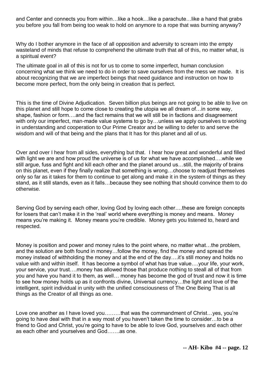and Center and connects you from within…like a hook…like a parachute…like a hand that grabs you before you fall from being too weak to hold on anymore to a rope that was burning anyway?

Why do I bother anymore in the face of all opposition and adversity to scream into the empty wasteland of minds that refuse to comprehend the ultimate truth that all of this, no matter what, is a spiritual event?

The ultimate goal in all of this is not for us to come to some imperfect, human conclusion concerning what we think we need to do in order to save ourselves from the mess we made. It is about recognizing that we are imperfect beings that need guidance and instruction on how to become more perfect, from the only being in creation that is perfect.

This is the time of Divine Adjudication. Seven billion plus beings are not going to be able to live on this planet and still hope to come close to creating the utopia we all dream of…in some way, shape, fashion or form….and the fact remains that we will still be in factions and disagreement with only our imperfect, man-made value systems to go by...unless we apply ourselves to working in understanding and cooperation to Our Prime Creator and be willing to defer to and serve the wisdom and will of that being and the plans that It has for this planet and all of us.

Over and over I hear from all sides, everything but that. I hear how great and wonderful and filled with light we are and how proud the universe is of us for what we have accomplished….while we still argue, fuss and fight and kill each other and the planet around us…still, the majority of brains on this planet, even if they finally realize that something is wrong…choose to readjust themselves only so far as it takes for them to continue to get along and make it in the system of things as they stand, as it still stands, even as it falls…because they see nothing that should convince them to do otherwise.

Serving God by serving each other, loving God by loving each other….these are foreign concepts for losers that can't make it in the 'real' world where everything is money and means. Money means you're making it. Money means you're credible. Money gets you listened to, heard and respected.

Money is position and power and money rules to the point where, no matter what…the problem, and the solution are both found in money…follow the money, find the money and spread the money instead of withholding the money and at the end of the day….it's still money and holds no value with and within itself. It has become a symbol of what has true value….your life, your work, your service, your trust….money has allowed those that produce nothing to steall all of that from you and have you hand it to them, as well… money has become the god of trust and now it is time to see how money holds up as it confronts divine, Universal currency…the light and love of the intelligent, spirit individual in unity with the unified consciousness of The One Being That is all things as the Creator of all things as one.

Love one another as I have loved you…......that was the commandment of Christ...yes, you're going to have deal with that in a way most of you haven't taken the time to consider…to be a friend to God and Christ, you're going to have to be able to love God, yourselves and each other as each other and yourselves and God…….as one.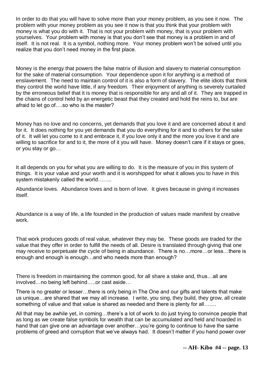In order to do that you will have to solve more than your money problem, as you see it now. The problem with your money problem as you see it now is that you think that your problem with money is what you do with it. That is not your problem with money, that is your problem with yourselves. Your problem with money is that you don't see that money is a problem in and of itself. It is not real. It is a symbol, nothing more. Your money problem won't be solved until you realize that you don't need money in the first place.

Money is the energy that powers the false matrix of illusion and slavery to material consumption for the sake of material consumption. Your dependence upon it for anything is a method of enslavement. The need to maintain control of it is also a form of slavery. The elite idiots that think they control the world have little, if any freedom. Their enjoyment of anything is severely curtailed by the erroneous belief that it is money that is responsible for any and all of it. They are trapped in the chains of control held by an energetic beast that they created and hold the reins to, but are afraid to let go of….so who is the master?

Money has no love and no concerns, yet demands that you love it and are concerned about it and for it. It does nothing for you yet demands that you do everything for it and to others for the sake of it. It will let you come to it and embrace it, if you love only it and the more you love it and are willing to sacrifice for and to it, the more of it you will have. Money doesn't care if it stays or goes, or you stay or go…

It all depends on you for what you are willing to do. It is the measure of you in this system of things. It is your value and your worth and it is worshipped for what it allows you to have in this system mistakenly called the world……..

Abundance loves. Abundance loves and is born of love. It gives because in giving it increases itself.

Abundance is a way of life, a life founded in the production of values made manifest by creative work.

That work produces goods of real value, whatever they may be. These goods are traded for the value that they offer in order to fulfill the needs of all. Desire is translated through giving that one may receive to perpetuate the cycle of being in abundance. There is no…more…or less…there is enough and enough is enough…and who needs more than enough?

There is freedom in maintaining the common good, for all share a stake and, thus…all are involved…no being left behind…..or cast aside…

There is no greater or lesser…there is only being in The One and our gifts and talents that make us unique…are shared that we may all increase. I write, you sing, they build, they grow, all create something of value and that value is shared as needed and there is plenty for all…….

All that may be awhile yet, in coming…there's a lot of work to do just trying to convince people that as long as we create false symbols for wealth that can be accumulated and held and hoarded in hand that can give one an advantage over another…you're going to continue to have the same problems of greed and corruption that we've always had. It doesn't matter if you hand power over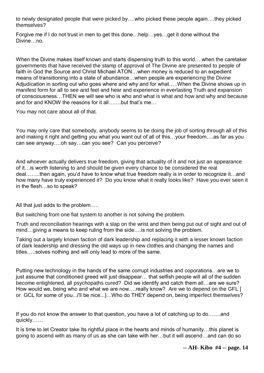to newly designated people that were picked by….who picked these people again….they picked themselves?

Forgive me if I do not trust in men to get this done…help…yes…get it done without the Divine…no.

When the Divine makes itself known and starts dispensing truth to this world….when the caretaker governments that have received the stamp of approval of The Divine are presented to people of faith in God the Source and Christ Michael ATON…when money is reduced to an expedient means of transitioning into a state of abundance…when people are experiencing the Divine Adjudication in sorting out who goes where and why and for what…..When the Divine shows up in manifest form for all to see and feel and hear and experience in everlasting Truth and expansion of consciousness…THEN we will see who is who and what is what and how and why and because and for and KNOW the reasons for it all…….but that's me…

You may not care about all of that.

You may only care that somebody, anybody seems to be doing the job of sorting through all of this and making it right and getting you what you want out of all of this…your freedom….as far as you can see anyway….oh say…can you see? Can you perceive?

And whoever actually delivers true freedom, giving that actuality of it and not just an appearance of it…is worth listening to and should be given every chance to be considered the real deal……..then again, you'd have to know what true freedom really is in order to recognize it…and how many have truly experienced it? Do you know what it really looks like? Have you ever seen it in the flesh…so to speak?

All that just adds to the problem…..

But switching from one fiat system to another is not solving the problem.

Truth and reconciliation hearings with a slap on the wrist and then being put out of sight and out of mind...giving a means to keep ruling from the side.... is not solving the problem.

Taking out a largely known faction of dark leadership and replacing it with a lesser known faction of dark leadership and dressing the old ways up in new clothes and changing the names and titles…..solves nothing and will only lead to more of the same.

Putting new technology in the hands of the same corrupt industries and coporations…are we to just assume that conditioned greed will just disappear... that selfish people will all of the sudden become enlightened, all psychopaths cured? Did we identify and catch them all…are we sure? How would we, being who and what we are now....really know? Are we to depend on the GFL [ or GCL for some of you...i'll be nice...]…Who do THEY depend on, being imperfect themselves?

If you do not know the answer to that question, you have a lot of catching up to do…….and quickly……

It is time to let Creator take Its rightful place in the hearts and minds of humanity…this planet is going to ascend with as many of us as she can take with her…but it will ascend…and can do so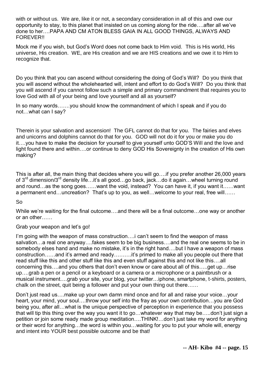with or without us. We are, like it or not, a secondary consideration in all of this and owe our opportunity to stay, to this planet that insisted on us coming along for the ride….after all we've done to her….PAPA AND CM ATON BLESS GAIA IN ALL GOOD THINGS, ALWAYS AND FOREVER!!

Mock me if you wish, but God's Word does not come back to Him void. This is His world, His universe, His creation. WE, are His creation and we are HIS creations and we owe it to Him to recognize that.

Do you think that you can ascend without considering the doing of God's Will? Do you think that you will ascend without the wholehearted will, intent and effort to do God's Will? Do you think that you will ascend if you cannot follow such a simple and primary commandment that requires you to love God with all of your being and love yourself and all as yourself?

In so many words…….you should know the commandment of which I speak and if you do not…what can I say?

Therein is your salvation and ascension! The GFL cannot do that for you. The fairies and elves and unicorns and dolphins cannot do that for you. GOD will not do it for you or make you do it….you have to make the decision for yourself to give yourself unto GOD'S Will and the love and light found there and within….or continue to deny GOD His Sovereignty in the creation of His own making?

This is after all, the main thing that decides where you will go….if you prefer another 26,000 years of 3<sup>rd</sup> dimension/3<sup>rd</sup> density life…it's all good…go back, jack…do it again…wheel turning round and round…as the song goes……want the void, instead? You can have it, if you want it……want a permanent end…uncreation? That's up to you, as well…welcome to your real, free will……

So

While we're waiting for the final outcome….and there will be a final outcome…one way or another or an other……

#### Grab your weapon and let's go!

I'm going with the weapon of mass construction.... i can't seem to find the weapon of mass salvation…a real one anyway….fakes seem to be big business….and the real one seems to be in somebody elses hand and make no mistake, it's in the right hand....but I have a weapon of mass construction……and it's armed and ready……….it's primed to make all you people out there that read stuff like this and other stuff like this and even stuff against this and not like this….all concerning this….and you others that don't even know or care about all of this…..get up…rise up….grab a pen or a pencil or a keyboard or a camera or a microphone or a paintbrush or a musical instrument….grab your site, your blog, your twitter…iphone, smartphone, t-shirts, posters, chalk on the street, quit being a follower and put your own thing out there……

Don't just read us….make up your own damn mind once and for all and raise your voice…your heart, your mind, your soul….throw your self into the fray as your own contribution…you are God being you, after all…what is the unique perspective of perception in experience that you possess that will tip this thing over the way you want it to go…whatever way that may be…..don't just sign a petition or join some ready made group meditation….THINK!…don't just take my word for anything or their word for anything…the word is within you…waiting for you to put your whole will, energy and intent into YOUR best possible outcome and be that!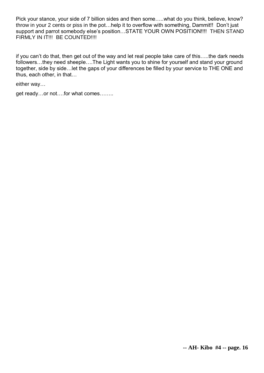Pick your stance, your side of 7 billion sides and then some…..what do you think, believe, know? throw in your 2 cents or piss in the pot…help it to overflow with something, Dammit!! Don't just support and parrot somebody else's position…STATE YOUR OWN POSITION!!!! THEN STAND FIRMLY IN IT!!! BE COUNTED!!!!

if you can't do that, then get out of the way and let real people take care of this…..the dark needs followers…they need sheeple….The Light wants you to shine for yourself and stand your ground together, side by side…let the gaps of your differences be filled by your service to THE ONE and thus, each other, in that…

either way…

get ready…or not….for what comes……..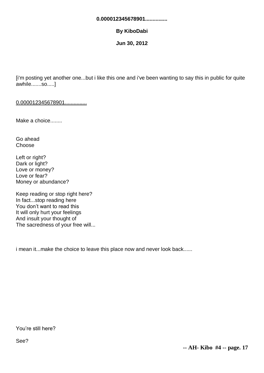#### **0.000012345678901...............**

#### **By KiboDabi**

**Jun 30, 2012**

[i'm posting yet another one...but i like this one and i've been wanting to say this in public for quite awhile.......so.....]

0.000012345678901...............

Make a choice........

Go ahead **Choose** 

Left or right? Dark or light? Love or money? Love or fear? Money or abundance?

Keep reading or stop right here? In fact...stop reading here You don't want to read this It will only hurt your feelings And insult your thought of The sacredness of your free will...

i mean it...make the choice to leave this place now and never look back......

You're still here?

See?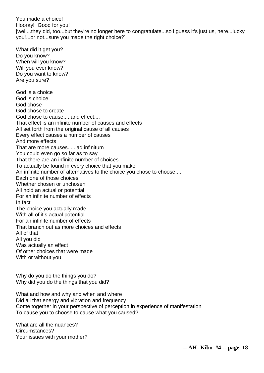You made a choice! Hooray! Good for you! [well...they did, too...but they're no longer here to congratulate...so i guess it's just us, here...lucky you!...or not...sure you made the right choice?]

What did it get you? Do you know? When will you know? Will you ever know? Do you want to know? Are you sure? God is a choice God is choice God chose God chose to create God chose to cause.....and effect.... That effect is an infinite number of causes and effects All set forth from the original cause of all causes Every effect causes a number of causes And more effects That are more causes......ad infinitum You could even go so far as to say That there are an infinite number of choices To actually be found in every choice that you make An infinite number of alternatives to the choice you chose to choose.... Each one of those choices Whether chosen or unchosen All hold an actual or potential For an infinite number of effects In fact The choice you actually made With all of it's actual potential For an infinite number of effects That branch out as more choices and effects All of that All you did Was actually an effect Of other choices that were made With or without you

Why do you do the things you do? Why did you do the things that you did?

What and how and why and when and where Did all that energy and vibration and frequency Come together in your perspective of perception in experience of manifestation To cause you to choose to cause what you caused?

What are all the nuances? Circumstances? Your issues with your mother?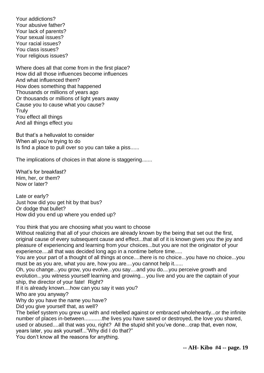Your addictions? Your abusive father? Your lack of parents? Your sexual issues? Your racial issues? You class issues? Your religious issues?

Where does all that come from in the first place? How did all those influences become influences And what influenced them? How does something that happened Thousands or millions of years ago Or thousands or millions of light years away Cause you to cause what you cause? **Truly** You effect all things And all things effect you

But that's a helluvalot to consider When all you're trying to do Is find a place to pull over so you can take a piss......

The implications of choices in that alone is staggering.......

What's for breakfast? Him, her, or them? Now or later?

Late or early? Just how did you get hit by that bus? Or dodge that bullet? How did you end up where you ended up?

You think that you are choosing what you want to choose

Without realizing that all of your choices are already known by the being that set out the first, original cause of every subsequent cause and effect...that all of it is known gives you the joy and pleasure of experiencing and learning from your choices...but you are not the originator of your experience....all that was decided long ago in a nontime before time.....

You are your part of a thought of all things at once....there is no choice...you have no choice...you must be as you are, what you are, how you are....you cannot help it......

Oh, you change...you grow, you evolve...you say....and you do....you perceive growth and evolution...you witness yourself learning and growing... you live and you are the captain of your ship, the director of your fate! Right?

If it is already known....how can you say it was you?

Who are you anyway?

Why do you have the name you have?

Did you give yourself that, as well?

The belief system you grew up with and rebelled against or embraced wholeheartly...or the infinite number of places in-between............the lives you have saved or destroyed, the love you shared, used or abused....all that was you, right? All the stupid shit you've done...crap that, even now, years later, you ask yourself..."Why did I do that?"

You don't know all the reasons for anything.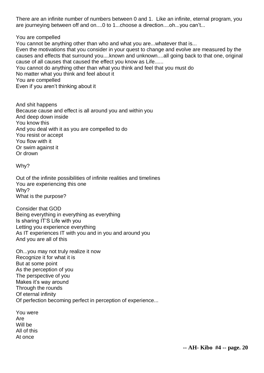There are an infinite number of numbers between 0 and 1. Like an infinite, eternal program, you are journeying between off and on....0 to 1...choose a direction....oh...you can't...

You are compelled

You cannot be anything other than who and what you are...whatever that is...

Even the motivations that you consider in your quest to change and evolve are measured by the causes and effects that surround you....known and unknown....all going back to that one, original cause of all causes that caused the effect you know as Life......

You cannot do anything other than what you think and feel that you must do

No matter what you think and feel about it

You are compelled

Even if you aren't thinking about it

And shit happens Because cause and effect is all around you and within you And deep down inside You know this And you deal with it as you are compelled to do You resist or accept You flow with it Or swim against it Or drown

Why?

Out of the infinite possibilities of infinite realities and timelines You are experiencing this one Why? What is the purpose?

Consider that GOD Being everything in everything as everything Is sharing IT'S Life with you Letting you experience everything As IT experiences IT with you and in you and around you And you are all of this

Oh...you may not truly realize it now Recognize it for what it is But at some point As the perception of you The perspective of you Makes it's way around Through the rounds Of eternal infinity Of perfection becoming perfect in perception of experience...

You were Are Will be All of this At once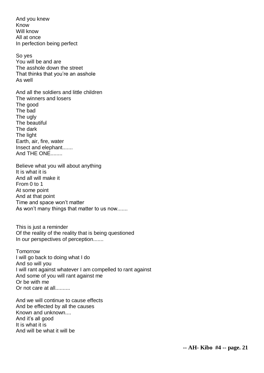And you knew Know Will know All at once In perfection being perfect

So yes You will be and are The asshole down the street That thinks that you're an asshole As well

And all the soldiers and little children The winners and losers The good The bad The ugly The beautiful The dark The light Earth, air, fire, water Insect and elephant....... And THE ONE........

Believe what you will about anything It is what it is And all will make it From 0 to 1 At some point And at that point Time and space won't matter As won't many things that matter to us now.......

This is just a reminder Of the reality of the reality that is being questioned In our perspectives of perception.......

Tomorrow I will go back to doing what I do And so will you I will rant against whatever I am compelled to rant against And some of you will rant against me Or be with me Or not care at all..........

And we will continue to cause effects And be effected by all the causes Known and unknown.... And it's all good It is what it is And will be what it will be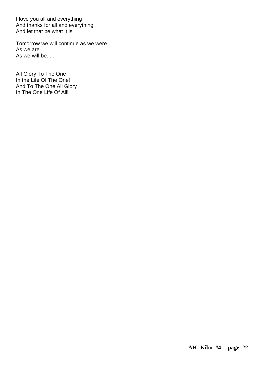I love you all and everything And thanks for all and everything And let that be what it is

Tomorrow we will continue as we were As we are As we will be.....

All Glory To The One In the Life Of The One! And To The One All Glory In The One Life Of All!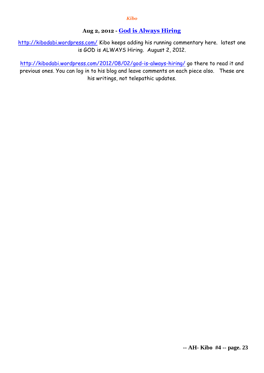## **Aug 2, 2012 - [God is Always Hiring](http://abundanthope.net/pages/kibo/God-is-Always-Hiring.shtml)**

<http://kibodabi.wordpress.com/> Kibo keeps adding his running commentary here. latest one is GOD is ALWAYS Hiring. August 2, 2012.

<http://kibodabi.wordpress.com/2012/08/02/god-is-always-hiring/> go there to read it and previous ones. You can log in to his blog and leave comments on each piece also. These are his writings, not telepathic updates.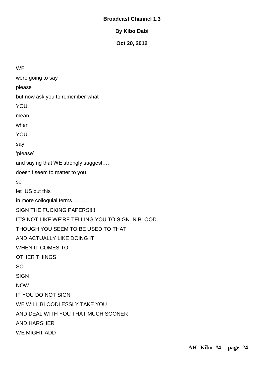#### **Broadcast Channel 1.3**

**By Kibo Dabi**

**Oct 20, 2012**

**WE** were going to say please but now ask you to remember what **YOU** mean when YOU say 'please' and saying that WE strongly suggest…. doesn't seem to matter to you so let US put this in more colloquial terms……… SIGN THE FUCKING PAPERS!!!! IT'S NOT LIKE WE'RE TELLING YOU TO SIGN IN BLOOD THOUGH YOU SEEM TO BE USED TO THAT AND ACTUALLY LIKE DOING IT WHEN IT COMES TO OTHER THINGS SO SIGN NOW IF YOU DO NOT SIGN WE WILL BLOODLESSLY TAKE YOU AND DEAL WITH YOU THAT MUCH SOONER AND HARSHER WE MIGHT ADD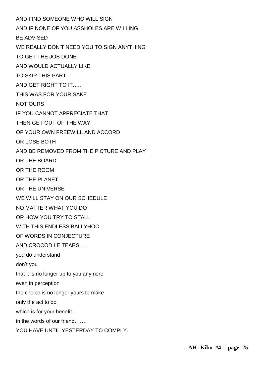AND FIND SOMEONE WHO WILL SIGN AND IF NONE OF YOU ASSHOLES ARE WILLING BE ADVISED WE REALLY DON'T NEED YOU TO SIGN ANYTHING TO GET THE JOB DONE AND WOULD ACTUALLY LIKE TO SKIP THIS PART AND GET RIGHT TO IT….. THIS WAS FOR YOUR SAKE NOT OURS IF YOU CANNOT APPRECIATE THAT THEN GET OUT OF THE WAY OF YOUR OWN FREEWILL AND ACCORD OR LOSE BOTH AND BE REMOVED FROM THE PICTURE AND PLAY OR THE BOARD OR THE ROOM OR THE PLANET OR THE UNIVERSE WE WILL STAY ON OUR SCHEDULE NO MATTER WHAT YOU DO OR HOW YOU TRY TO STALL WITH THIS FNDLESS BALLYHOO OF WORDS IN CONJECTURE AND CROCODILE TEARS you do understand don't you that it is no longer up to you anymore even in perception the choice is no longer yours to make only the act to do which is for your benefit…. in the words of our friend……. YOU HAVE UNTIL YESTERDAY TO COMPLY.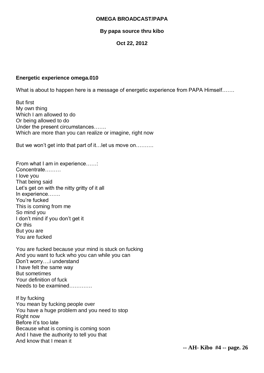#### **OMEGA BROADCAST/PAPA**

#### **By papa source thru kibo**

#### **Oct 22, 2012**

#### **Energetic experience omega.010**

What is about to happen here is a message of energetic experience from PAPA Himself…….

But first My own thing Which I am allowed to do Or being allowed to do Under the present circumstances……. Which are more than you can realize or imagine, right now

But we won't get into that part of it…let us move on……….

From what I am in experience...... Concentrate……… I love you That being said Let's get on with the nitty gritty of it all In experience……. You're fucked This is coming from me So mind you I don't mind if you don't get it Or this But you are You are fucked

You are fucked because your mind is stuck on fucking And you want to fuck who you can while you can Don't worry….i understand I have felt the same way But sometimes Your definition of fuck Needs to be examined………….

If by fucking You mean by fucking people over You have a huge problem and you need to stop Right now Before it's too late Because what is coming is coming soon And I have the authority to tell you that And know that I mean it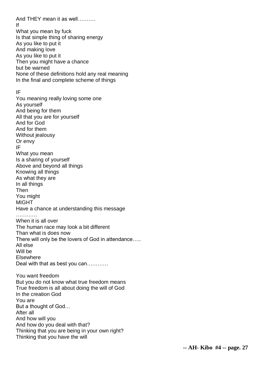And THEY mean it as well………. If What you mean by fuck Is that simple thing of sharing energy As you like to put it And making love As you like to put it Then you might have a chance but be warned None of these definitions hold any real meaning In the final and complete scheme of things IF You meaning really loving some one As yourself And being for them All that you are for yourself And for God And for them Without jealousy Or envy IF What you mean Is a sharing of yourself Above and beyond all things Knowing all things As what they are In all things Then You might MIGHT Have a chance at understanding this message …………… When it is all over The human race may look a bit different Than what is does now There will only be the lovers of God in attendance….. All else Will be Elsewhere Deal with that as best you can………… You want freedom But you do not know what true freedom means True freedom is all about doing the will of God In the creation God You are But a thought of God… After all And how will you And how do you deal with that? Thinking that you are being in your own right? Thinking that you have the will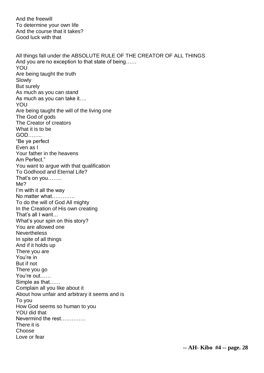And the freewill To determine your own life And the course that it takes? Good luck with that

All things fall under the ABSOLUTE RULE OF THE CREATOR OF ALL THINGS And you are no exception to that state of being…… YOU Are being taught the truth Slowly But surely As much as you can stand As much as you can take it…. YOU Are being taught the will of the living one The God of gods The Creator of creators What it is to be GOD…….. "Be ye perfect Even as I Your father in the heavens Am Perfect." You want to argue with that qualification To Godhood and Eternal Life? That's on you…….. Me? I'm with it all the way No matter what…………. To do the will of God All mighty In the Creation of His own creating That's all I want… What's your spin on this story? You are allowed one **Nevertheless** In spite of all things And if it holds up There you are You're in But if not There you go You're out…… Simple as that…… Complain all you like about it About how unfair and arbitrary it seems and is To you How God seems so human to you YOU did that Nevermind the rest There it is Choose Love or fear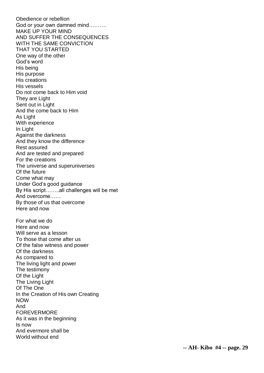Obedience or rebellion God or your own damned mind………. MAKE UP YOUR MIND AND SUFFER THE CONSEQUENCES WITH THE SAME CONVICTION THAT YOU STARTED One way of the other God's word His being His purpose His creations His vessels Do not come back to Him void They are Light Sent out in Light And the come back to Him As Light With experience In Light Against the darknes s And they know the difference Rest assured And are tested and prepared For the creations The universe and superuniverses Of the future Come what may Under God's good guidance By His script……..all challenges will be met And overcome…… By those of us that overcome Here and now For what we do Here and now Will serve as a lesson To those that come after us Of the false witness and power Of the darkness As compared to The living light and power The testimony Of the Light The Living Light Of The One In the Creation of His own Creating NOW And FOREVERMORE As it was in the beginning Is now And evermore shall be World without end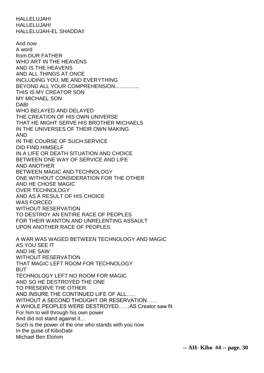HALLELUJAH! HALLELUJAH! HALLELUJAH-EL SHADDAI!

And now A word from OUR FATHER WHO ART IN THE HEAVENS AND IS THE HEAVENS AND ALL THINGS AT ONCE INCLUDING YOU, ME AND EVERYTHING BEYOND ALL YOUR COMPREHENSION................ THIS IS MY CREATOR SON MY MICHAEL SON DABI WHO BELAYED AND DELAYED THE CREATION OF HIS OWN UNIVERSE THAT HE MIGHT SERVE HIS BROTHER MICHAELS IN THE UNIVERSES OF THEIR OWN MAKING AND IN THE COURSE OF SUCH SERVICE DID FIND HIMSELF IN A LIFE OR DEATH SITUATION AND CHOICE BETWEEN ONE WAY OF SERVICE AND LIFE AND ANOTHER BETWEEN MAGIC AND TECHNOLOGY ONE WITHOUT CONSIDERATION FOR THE OTHER AND HE CHOSE MAGIC OVER TECHNOLOGY AND AS A RESULT OF HIS CHOICE WAS FORCED WITHOUT RESERVATION TO DESTROY AN ENTIRE RACE OF PEOPLES FOR THEIR WANTON AND UNRELENTING ASSAULT UPON ANOTHER RACE OF PEOPLES A WAR WAS WAGED BETWEEN TECHNOLOGY AND MAGIC AS YOU SEE IT AND HE SAW WITHOUT RESERVATION THAT MAGIC LEFT ROOM FOR TECHNOLOGY BUT TECHNOLOGY LEFT NO ROOM FOR MAGIC AND SO HE DESTROYED THE ONE TO PRESERVE THE OTHER AND INSURE THE CONTINUED LIFE OF ALL….. WITHOUT A SECOND THOUGHT OR RESERVATION…… A WHOLE PEOPLES WERE DESTROYED……AS Creator saw fit For him to will through his own power And did not stand against it… Such is the power of the one who stands with you now In the guise of KiboDabi Michael Ben Elohim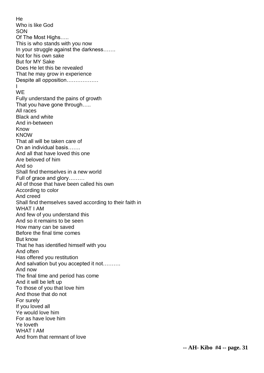He Who is like God SON Of The Most Highs….. This is who stands with you now In your struggle against the darkness……. Not for his own sake But for MY Sake Does He let this be revealed That he may grow in experience Despite all opposition……………… I **WE** Fully understand the pains of growth That you have gone through….. All races Black and white And in-between Know **KNOW** That all will be taken care of On an individual basis……. And all that have loved this one Are beloved of him And so Shall find themselves in a new world Full of grace and glory……… All of those that have been called his own According to color And creed Shall find themselves saved according to their faith in WHAT I AM And few of you understand this And so it remains to be seen How many can be saved Before the final time comes But know That he has identified himself with you And often Has offered you restitution And salvation but you accepted it not………. And now The final time and period has come And it will be left up To those of you that love him And those that do not For surely If you loved all Ye would love him For as have love him Ye loveth WHAT I AM And from that remnant of love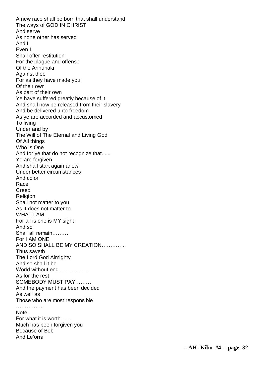A new race shall be born that shall understand The ways of GOD IN CHRIST And serve As none other has served And I Even I Shall offer restitution For the plague and offense Of the Annunaki Against thee For as they have made you Of their own As part of their own Ye have suffered greatly because of it And shall now be released from their slavery And be delivered unto freedom As ye are accorded and accustomed To living Under and by The Will of The Eternal and Living God Of All things Who is One And for ye that do not recognize that...... Ye are forgiven And shall start again anew Under better circumstances And color Race Creed **Religion** Shall not matter to you As it does not matter to WHAT I AM For all is one is MY sight And so Shall all remain……… For I AM ONE AND SO SHALL BE MY CREATION………….. Thus sayeth The Lord God Almighty And so shall it be World without end…………… As for the rest SOMEBODY MUST PAY……… And the payment has been decided As well as Those who are most responsible ……………… Note: For what it is worth…… Much has been forgiven you Because of Bob And Le'orra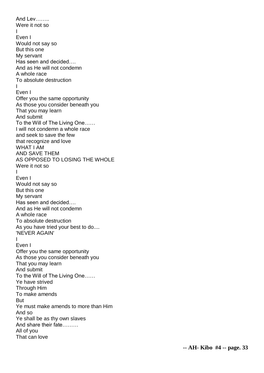And Lev…….. Were it not so I Even I Would not say so But this one My servant Has seen and decided…. And as He will not condemn A whole race To absolute destruction I Even I Offer you the same opportunity As those you consider beneath you That you may learn And submit To the Will of The Living One…… I will not condemn a whole race and seek to save the few that recognize and love WHAT I AM AND SAVE THEM AS OPPOSED TO LOSING THE WHOLE Were it not so I Even I Would not say so But this one My servant Has seen and decided…. And as He will not condemn A whole race To absolute destruction As you have tried your best to do.... 'NEVER AGAIN' I Even I Offer you the same opportunity As those you consider beneath you That you may learn And submit To the Will of The Living One…… Ye have strived Through Him To make amends But Ye must make amends to more than Him And so Ye shall be as thy own slaves And share their fate……… All of you That can love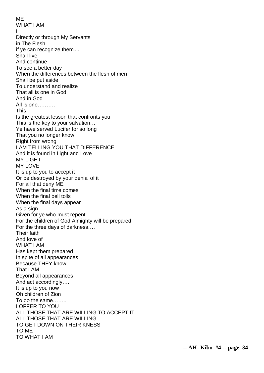ME WHAT I AM I Directly or through My Servants in The Flesh if ye can recognize them.... Shall live And continue To see a better day When the differences between the flesh of men Shall be put aside To understand and realize That all is one in God And in God All is one………. This Is the greatest lesson that confronts you This is the key to your salvation… Ye have served Lucifer for so long That you no longer know Right from wrong I AM TELLING YOU THAT DIFFERENCE And it is found in Light and Love MY LIGHT MY LOVE It is up to you to accept it Or be destroyed by your denial of it For all that deny ME When the final time comes When the final bell tolls When the final days appear As a sign Given for ye who must repent For the children of God Almighty will be prepared For the three days of darkness…. Their faith And love of WHAT I AM Has kept them prepared In spite of all appearances Because THEY know That I AM Beyond all appearances And act accordingly…. It is up to you now Oh children of Zion To do the same…….. I OFFER TO YOU ALL THOSE THAT ARE WILLING TO ACCEPT IT ALL THOSE THAT ARE WILLING TO GET DOWN ON THEIR KNESS TO ME TO WHAT I AM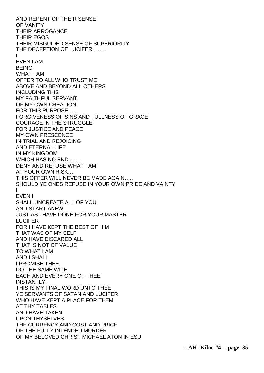AND REPENT OF THEIR SENSE OF VANITY THEIR ARROGANCE THEIR EGOS THEIR MISGUIDED SENSE OF SUPERIORITY THE DECEPTION OF LUCIFER……. I EVEN I AM BEING WHAT I AM OFFER TO ALL WHO TRUST ME ABOVE AND BEYOND ALL OTHERS INCLUDING THIS MY FAITHFUL SERVANT OF MY OWN CREATION FOR THIS PURPOSE….. FORGIVENESS OF SINS AND FULLNESS OF GRACE COURAGE IN THE STRUGGLE FOR JUSTICE AND PEACE MY OWN PRESCENCE IN TRIAL AND REJOICING AND ETERNAL LIFE IN MY KINGDOM WHICH HAS NO END……. DENY AND REFUSE WHAT I AM AT YOUR OWN RISK… THIS OFFER WILL NEVER BE MADE AGAIN….. SHOULD YE ONES REFUSE IN YOUR OWN PRIDE AND VAINTY I EVEN I SHALL UNCREATE ALL OF YOU AND START ANEW JUST AS I HAVE DONE FOR YOUR MASTER LUCIFER FOR I HAVE KEPT THE BEST OF HIM THAT WAS OF MY SELF AND HAVE DISCARED ALL THAT IS NOT OF VALUE TO WHAT I AM AND I SHALL I PROMISE THEE DO THE SAME WITH EACH AND EVERY ONE OF THEE INSTANTLY. THIS IS MY FINAL WORD UNTO THEE YE SERVANTS OF SATAN AND LUCIFER WHO HAVE KEPT A PLACE FOR THEM AT THY TABLES AND HAVE TAKEN UPON THYSELVES THE CURRENCY AND COST AND PRICE OF THE FULLY INTENDED MURDER OF MY BELOVED CHRIST MICHAEL ATON IN ESU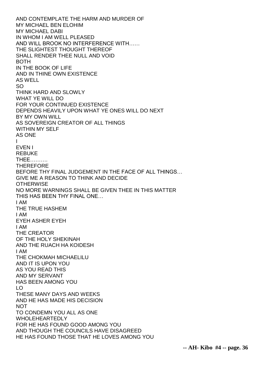AND CONTEMPLATE THE HARM AND MURDER OF MY MICHAEL BEN ELOHIM MY MICHAEL DABI IN WHOM I AM WELL PLEASED AND WILL BROOK NO INTERFERENCE WITH…… THE SLIGHTEST THOUGHT THEREOF SHALL RENDER THEE NULL AND VOID BOTH IN THE BOOK OF LIFE AND IN THINE OWN EXISTENCE AS WELL SO THINK HARD AND SLOWLY WHAT YE WILL DO FOR YOUR CONTINUED EXISTENCE DEPENDS HEAVILY UPON WHAT YE ONES WILL DO NEXT BY MY OWN WILL AS SOVEREIGN CREATOR OF ALL THINGS WITHIN MY SELF AS ONE I EVEN I REBUKE THEE………. THEREFORE BEFORE THY FINAL JUDGEMENT IN THE FACE OF ALL THINGS… GIVE ME A REASON TO THINK AND DECIDE **OTHERWISE** NO MORE WARNINGS SHALL BE GIVEN THEE IN THIS MATTER THIS HAS BEEN THY FINAL ONE… I AM THE TRUE HASHEM I AM EYEH ASHER EYEH I AM THE CREATOR OF THE HOLY SHEKINAH AND THE RUACH HA KOIDESH I AM THE CHOKMAH MICHAELILU AND IT IS UPON YOU AS YOU READ THIS AND MY SERVANT HAS BEEN AMONG YOU LO THESE MANY DAYS AND WEEKS AND HE HAS MADE HIS DECISION NOT TO CONDEMN YOU ALL AS ONE WHOLEHEARTEDLY FOR HE HAS FOUND GOOD AMONG YOU AND THOUGH THE COUNCILS HAVE DISAGREED HE HAS FOUND THOSE THAT HE LOVES AMONG YOU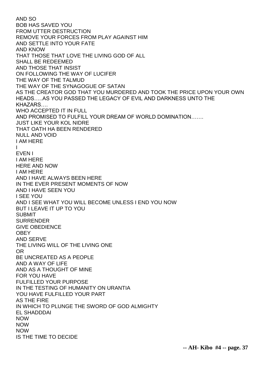AND SO BOB HAS SAVED YOU FROM UTTER DESTRUCTION REMOVE YOUR FORCES FROM PLAY AGAINST HIM AND SETTLE INTO YOUR FATE AND KNOW THAT THOSE THAT LOVE THE LIVING GOD OF ALL SHALL BE REDEEMED AND THOSE THAT INSIST ON FOLLOWING THE WAY OF LUCIFER THE WAY OF THE TALMUD THE WAY OF THE SYNAGOGUE OF SATAN AS THE CREATOR GOD THAT YOU MURDERED AND TOOK THE PRICE UPON YOUR OWN HEADS…..AS YOU PASSED THE LEGACY OF EVIL AND DARKNESS UNTO THE KHAZARS…. WHO ACCEPTED IT IN FULL AND PROMISED TO FULFILL YOUR DREAM OF WORLD DOMINATION……. JUST LIKE YOUR KOL NIDRE THAT OATH HA BEEN RENDERED NULL AND VOID I AM HERE I EVEN I I AM HERE HERE AND NOW I AM HERE AND I HAVE ALWAYS BEEN HERE IN THE EVER PRESENT MOMENTS OF NOW AND I HAVE SEEN YOU I SEE YOU AND I SEE WHAT YOU WILL BECOME UNLESS I END YOU NOW BUT I LEAVE IT UP TO YOU SUBMIT SURRENDER GIVE OBEDIENCE **OBEY** AND SERVE THE LIVING WILL OF THE LIVING ONE OR BE UNCREATED AS A PEOPLE AND A WAY OF LIFE AND AS A THOUGHT OF MINE FOR YOU HAVE FULFILLED YOUR PURPOSE IN THE TESTING OF HUMANITY ON URANTIA YOU HAVE FULFILLED YOUR PART AS THE FIRE IN WHICH TO PLUNGE THE SWORD OF GOD ALMIGHTY EL SHADDDAI NOW NOW NOW IS THE TIME TO DECIDE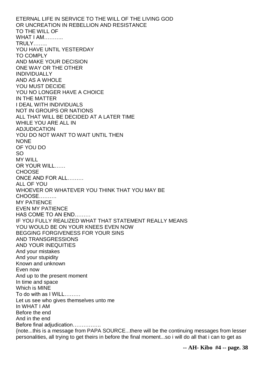ETERNAL LIFE IN SERVICE TO THE WILL OF THE LIVING GOD OR UNCREATION IN REBELLION AND RESISTANCE TO THE WILL OF WHAT I AM TRULY…….. YOU HAVE UNTIL YESTERDAY TO COMPLY AND MAKE YOUR DECISION ONE WAY OR THE OTHER INDIVIDUALLY AND AS A WHOLE YOU MUST DECIDE YOU NO LONGER HAVE A CHOICE IN THE MATTER I DEAL WITH INDIVIDUALS NOT IN GROUPS OR NATIONS ALL THAT WILL BE DECIDED AT A LATER TIME WHILE YOU ARE ALL IN ADJUDICATION YOU DO NOT WANT TO WAIT UNTIL THEN **NONE** OF YOU DO SO MY WILL OR YOUR WILL…… **CHOOSE** ONCE AND FOR ALL……… ALL OF YOU WHOEVER OR WHATEVER YOU THINK THAT YOU MAY BE CHOOSE………. MY PATIENCE EVEN MY PATIENCE HAS COME TO AN END……… IF YOU FULLY REALIZED WHAT THAT STATEMENT REALLY MEANS YOU WOULD BE ON YOUR KNEES EVEN NOW BEGGING FORGIVENESS FOR YOUR SINS AND TRANSGRESSIONS AND YOUR INEQUITIES And your mistakes And your stupidity Known and unknown Even now And up to the present moment In time and space Which is MINE To do with as I WILL……… Let us see who gives themselves unto me In WHAT I AM Before the end And in the end Before final adjudication……………. {note...this is a message from PAPA SOURCE...there will be the continuing messages from lesser personalities, all trying to get theirs in before the final moment...so i will do all that i can to get as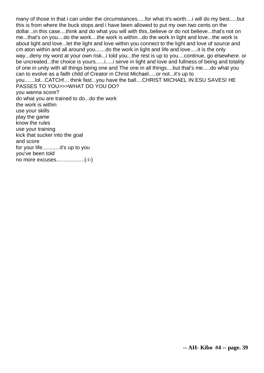many of those in that i can under the circumstances.....for what it's worth....i will do my best.....but this is from where the buck stops and i have been allowed to put my own two cents on the dollar...in this case....think and do what you will with this..believe or do not believe...that's not on me...that's on you....do the work....the work is within...do the work in light and love...the work is about light and love...let the light and love within you connect to the light and love of source and cm aton within and all around you.......do the work in light and life and love.....it is the only way...deny my word at your own risk...i told you...the rest is up to you....continue, go elsewhere. or be uncreated...the choice is yours......i.....i serve in light and love and fullness of being and totality of one in unity with all things being one and The one in all things....but that's me.....do what you can to evolve as a faith child of Creator in Christ Michael.....or not...it's up to you.......lol...CATCH!... think fast...you have the ball....CHRIST MICHAEL IN ESU SAVES! HE PASSES TO YOU>>>WHAT DO YOU DO? you wanna score? do what you are trained to do...do the work the work is within use your skills play the game know the rules use your training kick that sucker into the goal and score for your life............it's up to you you've been told no more excuses...................(-i-)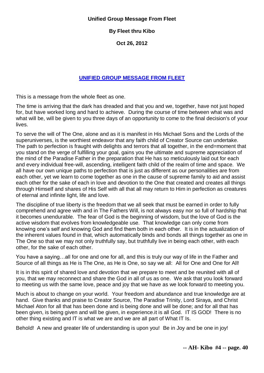#### **Unified Group Message From Fleet**

# **By Fleet thru Kibo**

**Oct 26, 2012**

# **[UNIFIED GROUP MESSAGE FROM](http://kibodabi.wordpress.com/2012/10/24/unified-group-message-from-fleet/) FLEET**

This is a message from the whole fleet as one.

The time is arriving that the dark has dreaded and that you and we, together, have not just hoped for, but have worked long and hard to achieve. During the course of time between what was and what will be, will be given to you three days of an opportunity to come to the final decision's of your lives.

To serve the will of The One, alone and as it is manifest in His Michael Sons and the Lords of the superuniverses, is the worthiest endeavor that any faith child of Creator Source can undertake. The path to perfection is fraught with delights and terrors that all together, in the end=moment that you stand on the verge of fulfilling your goal, gains you the ultimate and supreme appreciation of the mind of the Paradise Father in the preparation that He has so meticulously laid out for each and every individual free-will, ascending, intelligent faith child of the realm of time and space. We all have our own unique paths to perfection that is just as different as our personalities are from each other, yet we learn to come together as one in the cause of supreme family to aid and assist each other for the sake of each in love and devotion to the One that created and creates all things through Himself and shares of His Self with all that all may return to Him in perfection as creatures of eternal and infinite light, life and love.

The discipline of true liberty is the freedom that we all seek that must be earned in order to fully comprehend and agree with and in The Fathers Will, is not always easy nor so full of hardship that it becomes unendurable. The fear of God is the beginning of wisdom, but the love of God is the active wisdom that evolves from knowledgeable use. That knowledge can only come from knowing one's self and knowing God and find them both in each other. It is in the actualization of the inherent values found in that, which automatically binds and bonds all things together as one in The One so that we may not only truthfully say, but truthfully live in being each other, with each other, for the sake of each other.

You have a saying…all for one and one for all, and this is truly our way of life in the Father and Source of all things as He is The One, as He is One, so say we all: All for One and One for All!

It is in this spirit of shared love and devotion that we prepare to meet and be reunited with all of you, that we may reconnect and share the God in all of us as one. We ask that you look forward to meeting us with the same love, peace and joy that we have as we look forward to meeting you.

Much is about to change on your world. Your freedom and abundance and true knowledge are at hand. Give thanks and praise to Creator Source, The Paradise Trinity, Lord Siraya, and Christ Michael Aton for all that has been done and is being done and will be done; and for all that has been given, is being given and will be given, in experience.it is all God. IT IS GOD! There is no other thing existing and IT is what we are and we are all part of What IT Is.

Behold! A new and greater life of understanding is upon you! Be in Joy and be one in joy!

**-- AH- Kibo #4 -- page. 40**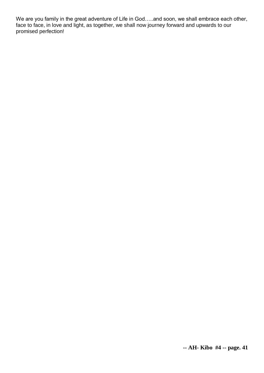We are you family in the great adventure of Life in God…..and soon, we shall embrace each other, face to face, in love and light, as together, we shall now journey forward and upwards to our promised perfection!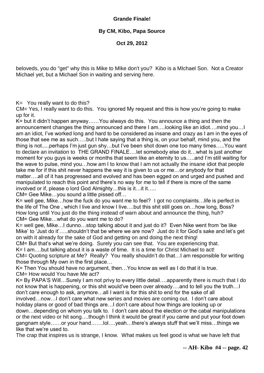# **Grande Finale!**

# **By CM, Kibo, Papa Source**

**Oct 29, 2012**

beloveds, you do "get" why this is Mike to MIke don't you? Kibo is a MIchael Son. Not a Creator Michael yet, but a Michael Son in waiting and serving here.

 $K=$  You really want to do this?

CM= Yes, I really want to do this. You ignored My request and this is how you're going to make up for it.

K= but it didn't happen anyway……You always do this. You announce a thing and then the announcement changes the thing announced and there I am….looking like an idiot….mind you…I am an idiot, I've worked long and hard to be considered as insane and crazy as I am in the eyes of those that see me as such…..but I hate saying that a thing is, on your behalf, mind you, and the thing is not.....perhaps I'm just gun shy…but I've been shot down one too many times…..You want to declare an invitation to THE GRAND FINALE….let somebody else do it…what Is just another moment for you guys is weeks or months that seem like an eternity to us…..and I'm still waiting for the wave to pulse, mind you…how am I to know that I am not actually the insane idiot that people take me for if this shit never happens the way it is given to us or me…or anybody for that matter….all of it has progressed and evolved and has been egged on and urged and pushed and manipulated to reach this point and there's no way for me to tell if there is more of the same involved or if, please o lord God Almighty…this is it…it it…..

CM= Gee Mike…you sound a little pissed off…

K= well gee, Mike…how the fuck do you want me to feel? I got no complaints…life is perfect in the life of The One , which I live and know I live….but this shit still goes on…how long, Boss? How long until You just do the thing instead of warn about and announce the thing, huh? CM= Gee Mike…what do you want me to do?

K= well gee, Mike…I dunno…stop talking about it and just do it? Even Nike went from 'be like Mike' to 'Just do it'…..shouldn't that be where we are now? Just do it for God's sake and let's get on with it already for the sake of God and getting on and doing the next thing!

CM= But that's what we're doing. Surely you can see that. You are experiencing that.

K= I am….but talking about it is a waste of time. It is a time for Christ Michael to act!

CM= Quoting scripture at Me? Really? You really shouldn't do that…I am responsible for writing those through My own in the first place…

K= Then You should have no argument, then…You know as well as I do that it is true.

CM= How would You have Me act?

K= By PAPA'S Will…Surely I am not privy to every little detail….apparently there is much that I do not know that is happening, or this shit would've been over already….and to tell you the truth…I don't care enough to ask, anymore…all I want is for this shit to end for the sake of all involved…now…I don't care what new series and movies are coming out. I don't care about holiday plans or good of bad things are…I don't care about how things are looking up or down…depending on whom you talk to. I don't care about the election or the cabal manipulations

or the next video or hit song….though I think it would be great if you came and put your foot down gangnam style……or your hand…….lol….yeah…there's always stuff that we'll miss…things we like that we're used to.

The crap that inspires us is strange, I know. What makes us feel good is what we have left that

**-- AH- Kibo #4 -- page. 42**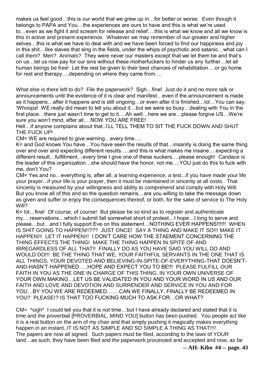makes us feel good…this is our world that we grew up in…for better or worse. Even though it belongs to PAPA and You…the experiences are ours to have and this is what we're used to…even as we fight it and scream for release and relief….this is what we know and all we know is this in active and present experience. Whatever we may remember of our greater and higher selves…this is what we have to deal with and we have been forced to find our happiness and joy in this shit…like slaves that sing in the fields, under the whips of psychotic and satanic…what can I call them? Men? Animals? They were never our masters except that we let them be and that's on us…let us now pay for our sins without these motherfuckers to hinder us any further…let all human beings be free! Let the rest be given to their best chances of rehabilitation….or go home for rest and therapy….depending on where they came from….

What else is there left to do? File the paperwork? Sigh…fine! Just do it and no more talk or announcements until the evidence of it is clear and manifest…even if the announcement is made as it happens…after it happens and is still ongoing…or even after it is finished…lol…You can say: 'Whoops! WE really did mean to tell you about it…but we were so busy…dealing with You in the first place…there just wasn't time to get to it….Ah well…here we are…please forgive US…We're sure you won't mind, after all….NOW YOU ARE FREE!

Hell…if anyone complains about that..I'LL TELL THEM TO SIT THE FUCK DOWN AND SHUT THE FUCK UP!

CM= WE are required to give warning…every time….

K= and God knows You have…You have seen the results of that…insanity is doing the same thing over and over and expecting different results…..and this is what makes me insane….expecting a different result…fulfillment…every time I give one of these suckers….please enough! Candace is the leader of this organization…she should have the honor, not me….YOU just do this to fuck with me, don't You?

CM= Yes and no…everything is, after all, a learning experience, a test...if you have made your life your prayer...if your life is your prayer, then it must be maintained in sincerity at all costs. That sincerity is measured by your willingness and ability to comprehend and comply with Holy Will. But you know all of this and so the question remains…are you willing to take the message down as given and suffer or enjoy the consequences thereof, or both, for the sake of service to The Holy Will?

K= lol…fine! Of course, of course! But please be so kind as to register and authenticate my….reservations…which I submit fall somewhat short of protest…I hope…I long to serve and please…but…and I fully support Eve on this statement…NOTHING EVER HAPPENS!!!!!! WHEN IS SHIT GOING TO HAPPEN!!??? JUST ONCE! SAY A THING AND MAKE IT SO!!! MAKE IT HAPPEN!!! LET IT HAPPEN!!! I DON'T CARE HOW THE STAEMENT CONCERNING THE THING EFFECTS THE THING! MAKE THE THING HAPPEN IN SPITE OF AND IRREGARDLESS OF ALL THAT!! FINALLY DO AS YOU HAVE SAID YOU WILL DO AND WOULD DO!!! BE THE THING THAT WE, YOUR FAITHFUL SERVANTS IN THE ONE THAT IS ALL THINGS, YOUR DEVOTED AND BELIEVING-IN-SPITE-OF-EVERYTHING-THAT DOESN'T-AND-HASN'T-HAPPENED…..HOPE AND EXPECT YOU TO BE!!! PLEASE FULFILL OUR FAITH IN YOU AS THE ONE IN CHARGE OF THIS THING, IN YOUR OWN UNIVERSE OF YOUR OWN MAKING…LET US BE VALIDATED IN YOU AND YOUR WORD IN US AND OUR FAITH AND LOVE AND DEVOTION AND SURRENDER AND SERVICE IN YOU AND FOR YOU…BY YOU WE ARE REDEEMED…….CAN WE FINALLY, FINALLY BE REDEEMED IN YOU? PLEASE!? IS THAT TOO FUCKING MUCH TO ASK FOR…OR WHAT?

CM= \*sigh\* I could tell you that it is not time…but I have already declared and stated that it is time and the proverbial [PROVERBIAL, MIND YOU] button has been pushed. You people act like it is a real button on the arm of my chair and that simply pushing it magically makes everything happen in an instant..IT IS NOT AS SIMPLE AND SO SIMPLE A THING AS THAT!!!! The papers are now all signed. Such papers must be filed, according to the laws of YOUR land…as such, they have been filed and the paperwork processed and accepted and now, as far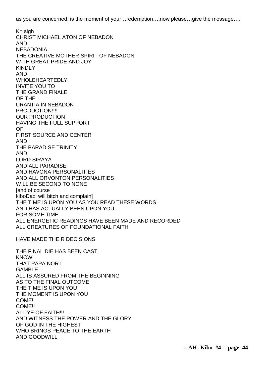as you are concerned, is the moment of your…redemption….now please…give the message….

 $K =$  sigh CHRIST MICHAEL ATON OF NEBADON AND NEBADONIA THE CREATIVE MOTHER SPIRIT OF NEBADON WITH GREAT PRIDE AND JOY KINDLY AND WHOLEHEARTEDLY INVITE YOU TO THE GRAND FINALE OF THE URANTIA IN NEBADON PRODUCTION!!!! OUR PRODUCTION HAVING THE FULL SUPPORT OF FIRST SOURCE AND CENTER AND THE PARADISE TRINITY AND LORD SIRAYA AND ALL PARADISE AND HAVONA PERSONALITIES AND ALL ORVONTON PERSONALITIES WILL BE SECOND TO NONE [and of course kiboDabi will bitch and complain] THE TIME IS UPON YOU AS YOU READ THESE WORDS AND HAS ACTUALLY BEEN UPON YOU FOR SOME TIME ALL ENERGETIC READINGS HAVE BEEN MADE AND RECORDED ALL CREATURES OF FOUNDATIONAL FAITH HAVE MADE THEIR DECISIONS THE FINAL DIE HAS BEEN CAST KNOW THAT PAPA NOR I GAMBLE ALL IS ASSURED FROM THE BEGINNING AS TO THE FINAL OUTCOME THE TIME IS UPON YOU THE MOMENT IS UPON YOU COME! COME!! ALL YE OF FAITH!!! AND WITNESS THE POWER AND THE GLORY OF GOD IN THE HIGHEST WHO BRINGS PEACE TO THE EARTH AND GOODWILL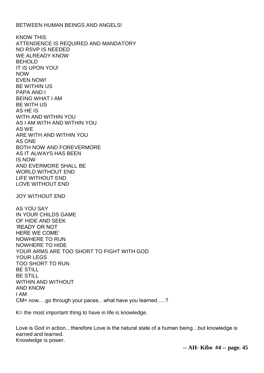#### BETWEEN HUMAN BEINGS AND ANGELS!

KNOW THIS ATTENDENCE IS REQUIRED AND MANDATORY NO RSVP IS NEEDED WE ALREADY KNOW BEHOLD IT IS UPON YOU! NOW EVEN NOW! BE WITHIN US PAPA AND I BEING WHAT I AM BE WITH US AS HE IS WITH AND WITHIN YOU AS I AM WITH AND WITHIN YOU AS WE ARE WITH AND WITHIN YOU AS ONE BOTH NOW AND FOREVERMORE AS IT ALWAYS HAS BEEN IS NOW AND EVERMORE SHALL BE WORLD WITHOUT END LIFE WITHOUT END LOVE WITHOUT END JOY WITHOUT END

AS YOU SAY IN YOUR CHILDS GAME OF HIDE AND SEEK 'READY OR NOT HERE WE COME' NOWHERE TO RUN NOWHERE TO HIDE YOUR ARMS ARE TOO SHORT TO FIGHT WITH GOD YOUR LEGS TOO SHORT TO RUN BE STILL BE STILL WITHIN AND WITHOUT AND KNOW I AM CM= now….go through your paces…what have you learned…..?

K= the most important thing to have in life is knowledge.

Love is God in action...therefore Love is the natural state of a human being...but knowledge is earned and learned. Knowledge is power.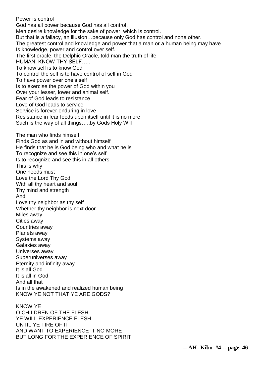Power is control God has all power because God has all control. Men desire knowledge for the sake of power, which is control. But that is a fallacy, an illusion…because only God has control and none other. The greatest control and knowledge and power that a man or a human being may have Is knowledge, power and control over self. The first oracle, the Delphic Oracle, told man the truth of life HUMAN, KNOW THY SELF….. To know self is to know God To control the self is to have control of self in God To have power over one's self Is to exercise the power of God within you Over your lesser, lower and animal self. Fear of God leads to resistance Love of God leads to service Service is forever enduring in love Resistance in fear feeds upon itself until it is no more Such is the way of all things…..by Gods Holy Will The man who finds himself Finds God as and in and without himself He finds that he is God being who and what he is To recognize and see this in one's self Is to recognize and see this in all others This is why One needs must Love the Lord Thy God With all thy heart and soul Thy mind and strength And Love thy neighbor as thy self Whether thy neighbor is next door Miles away Cities away Countries away Planets away Systems away Galaxies away Universes away Superuniverses away Eternity and infinity away It is all God It is all in God And all that Is in the awakened and realized human being KNOW YE NOT THAT YE ARE GODS? KNOW YE O CHILDREN OF THE FLESH YE WILL EXPERIENCE FLESH UNTIL YE TIRE OF IT

AND WANT TO EXPERIENCE IT NO MORE BUT LONG FOR THE EXPERIENCE OF SPIRIT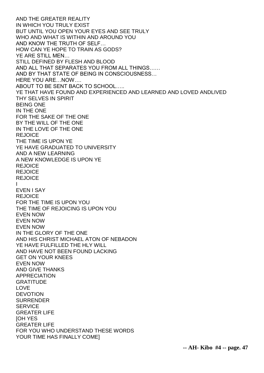AND THE GREATER REALITY IN WHICH YOU TRULY EXIST BUT UNTIL YOU OPEN YOUR EYES AND SEE TRULY WHO AND WHAT IS WITHIN AND AROUND YOU AND KNOW THE TRUTH OF SELF… HOW CAN YE HOPE TO TRAIN AS GODS? YE ARE STILL MEN… STILL DEFINED BY FLESH AND BLOOD AND ALL THAT SEPARATES YOU FROM ALL THINGS…… AND BY THAT STATE OF BEING IN CONSCIOUSNESS… HERE YOU ARE…NOW…. ABOUT TO BE SENT BACK TO SCHOOL….. YE THAT HAVE FOUND AND EXPERIENCED AND LEARNED AND LOVED ANDLIVED THY SELVES IN SPIRIT BEING ONE IN THE ONE FOR THE SAKE OF THE ONE BY THE WILL OF THE ONE IN THE LOVE OF THE ONE REJOICE THE TIME IS UPON YE YE HAVE GRADUATED TO UNIVERSITY AND A NEW LEARNING A NEW KNOWLEDGE IS UPON YE **REJOICE REJOICE** REJOICE I EVEN I SAY **REJOICE** FOR THE TIME IS UPON YOU THE TIME OF REJOICING IS UPON YOU EVEN NOW EVEN NOW EVEN NOW IN THE GLORY OF THE ONE AND HIS CHRIST MICHAEL ATON OF NEBADON YE HAVE FULFILLED THE HLY WILL AND HAVE NOT BEEN FOUND LACKING GET ON YOUR KNEES EVEN NOW AND GIVE THANKS APPRECIATION **GRATITUDE** LOVE **DEVOTION** SURRENDER **SERVICE** GREATER LIFE [OH YES GREATER LIFE FOR YOU WHO UNDERSTAND THESE WORDS YOUR TIME HAS FINALLY COME]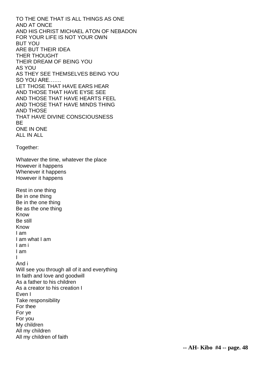TO THE ONE THAT IS ALL THINGS AS ONE AND AT ONCE AND HIS CHRIST MICHAEL ATON OF NEBADON FOR YOUR LIFE IS NOT YOUR OWN BUT YOU ARE BUT THEIR IDEA THER THOUGHT THEIR DREAM OF BEING YOU AS YOU AS THEY SEE THEMSELVES BEING YOU SO YOU ARE……. LET THOSE THAT HAVE EARS HEAR AND THOSE THAT HAVE EYSE SEE AND THOSE THAT HAVE HEARTS FEEL AND THOSE THAT HAVE MINDS THING AND THOSE THAT HAVE DIVINE CONSCIOUSNESS BE ONE IN ONE ALL IN ALL Together: Whatever the time, whatever the place However it happens Whenever it happens However it happens Rest in one thing Be in one thing Be in the one thing Be as the one thing Know Be still Know I am I am what I am I am i I am I And i Will see you through all of it and everything In faith and love and goodwill As a father to his children As a creator to his creation I Even I Take responsibility For thee For ye For you My children All my children All my children of faith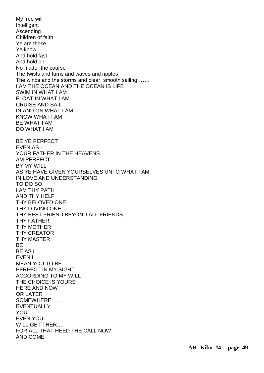My free will Intelligent Ascending Children of faith Ye are those Ye know And hold fast And hold on No matter the course The twists and turns and waves and ripples The winds and the storms and clear, smooth sailing……. I AM THE OCEAN AND THE OCEAN IS LIFE SWIM IN WHAT I AM FLOAT IN WHAT I AM CRUISE AND SAIL IN AND ON WHAT I AM KNOW WHAT I AM BE WHAT I AM DO WHAT I AM BE YE PERFECT EVEN AS I YOUR FATHER IN THE HEAVENS AM PERFECT…. BY MY WILL AS YE HAVE GIVEN YOURSELVES UNTO WHAT I AM IN LOVE AND UNDERSTANDING TO DO SO I AM THY PATH AND THY HELP THY BELOVED ONE THY LOVING ONE THY BEST FRIEND BEYOND ALL FRIENDS THY FATHER THY MOTHER THY CREATOR THY MASTER **BF** BE AS I EVEN I MEAN YOU TO BE PERFECT IN MY SIGHT ACCORDING TO MY WILL THE CHOICE IS YOURS HERE AND NOW OR LATER SOMEWHERE…… EVENTUALLY YOU EVEN YOU WILL GET THER…. FOR ALL THAT HEED THE CALL NOW AND COME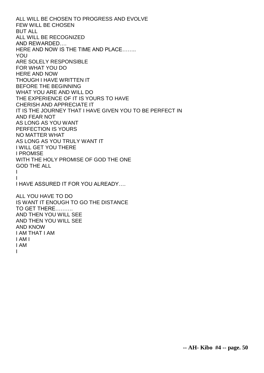ALL WILL BE CHOSEN TO PROGRESS AND EVOLVE FEW WILL BE CHOSEN BUT ALL ALL WILL BE RECOGNIZED AND REWARDED…. HERE AND NOW IS THE TIME AND PLACE…….. YOU ARE SOLELY RESPONSIBLE FOR WHAT YOU DO HERE AND NOW THOUGH I HAVE WRITTEN IT BEFORE THE BEGINNING WHAT YOU ARE AND WILL DO THE EXPERIENCE OF IT IS YOURS TO HAVE CHERISH AND APPRECIATE IT IT IS THE JOURNEY THAT I HAVE GIVEN YOU TO BE PERFECT IN AND FEAR NOT AS LONG AS YOU WANT PERFECTION IS YOURS NO MATTER WHAT AS LONG AS YOU TRULY WANT IT I WILL GET YOU THERE I PROMISE WITH THE HOLY PROMISE OF GOD THE ONE GOD THE ALL I I I HAVE ASSURED IT FOR YOU ALREADY…. ALL YOU HAVE TO DO IS WANT IT ENOUGH TO GO THE DISTANCE TO GET THERE………. AND THEN YOU WILL SEE AND THEN YOU WILL SEE AND KNOW I AM THAT I AM I AM I I AM

I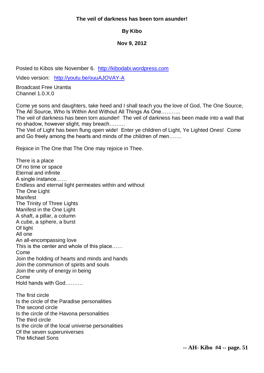## **The veil of darkness has been torn asunder!**

# **By Kibo**

# **Nov 9, 2012**

Posted to Kibos site November 6. [http://kibodabi.wordpress.com](http://kibodabi.wordpress.com/)

Video version: <http://youtu.be/ouuAJOVAY-A>

Broadcast Free Urantia Channel 1.0.X.0

Come ye sons and daughters, take heed and I shall teach you the love of God, The One Source, The All Source, Who Is Within And Without All Things As One………..

The veil of darkness has been torn asunder! The veil of darkness has been made into a wall that no shadow, however slight, may breach………

The Veil of Light has been flung open wide! Enter ye children of Light, Ye Lighted Ones! Come and Go freely among the hearts and minds of the children of men…….

Rejoice in The One that The One may rejoice in Thee.

There is a place Of no time or space Eternal and infinite A single instance…… Endless and eternal light permeates within and without The One Light Manifest The Trinity of Three Lights Manifest in the One Light A shaft, a pillar, a column A cube, a sphere, a burst Of light All one An all-encompassing love This is the center and whole of this place…… Come Join the holding of hearts and minds and hands Join the communion of spirits and souls Join the unity of energy in being Come Hold hands with God………. The first circle Is the circle of the Paradise personalities The second circle Is the circle of the Havona personalities The third circle Is the circle of the local universe personalities Of the seven superuniverses The Michael Sons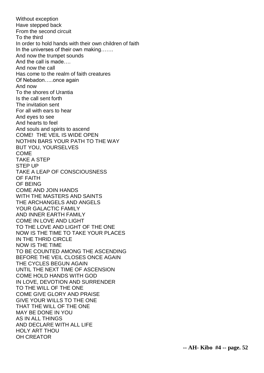Without exception Have stepped back From the second circuit To the third In order to hold hands with their own children of faith In the universes of their own making……. And now the trumpet sounds And the call is made…. And now the call Has come to the realm of faith creatures Of Nebadon…..once again And now To the shores of Urantia Is the call sent forth The invitation sent For all with ears to hear And eyes to see And hearts to feel And souls and spirits to ascend COME! THE VEIL IS WIDE OPEN NOTHIN BARS YOUR PATH TO THE WAY BUT YOU, YOURSELVES COME TAKE A STEP STEP UP TAKE A LEAP OF CONSCIOUSNESS OF FAITH OF BEING COME AND JOIN HANDS WITH THE MASTERS AND SAINTS THE ARCHANGELS AND ANGELS YOUR GALACTIC FAMILY AND INNER EARTH FAMILY COME IN LOVE AND LIGHT TO THE LOVE AND LIGHT OF THE ONE NOW IS THE TIME TO TAKE YOUR PLACES IN THE THRID CIRCLE NOW IS THE TIME TO BE COUNTED AMONG THE ASCENDING BEFORE THE VEIL CLOSES ONCE AGAIN THE CYCLES BEGUN AGAIN UNTIL THE NEXT TIME OF ASCENSION COME HOLD HANDS WITH GOD IN LOVE, DEVOTION AND SURRENDER TO THE WILL OF THE ONE COME GIVE GLORY AND PRAISE GIVE YOUR WILLS TO THE ONE THAT THE WILL OF THE ONE MAY BE DONE IN YOU AS IN ALL THINGS AND DECLARE WITH ALL LIFE HOLY ART THOU OH CREATOR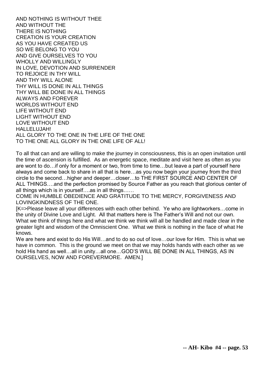AND NOTHING IS WITHOUT THEE AND WITHOUT THE THERE IS NOTHING CREATION IS YOUR CREATION AS YOU HAVE CREATED US SO WE BELONG TO YOU AND GIVE OURSELVES TO YOU WHOLLY AND WILLINGLY IN LOVE, DEVOTION AND SURRENDER TO REJOICE IN THY WILL AND THY WILL ALONE THY WILL IS DONE IN ALL THINGS THY WILL BE DONE IN ALL THINGS ALWAYS AND FOREVER WORLDS WITHOUT END LIFE WITHOUT END LIGHT WITHOUT END LOVE WITHOUT END HALLELUJAH! ALL GLORY TO THE ONE IN THE LIFE OF THE ONE TO THE ONE ALL GLORY IN THE ONE LIFE OF ALL!

To all that can and are willing to make the journey in consciousness, this is an open invitation until the time of ascension is fulfilled. As an energetic space, meditate and visit here as often as you are wont to do…if only for a moment or two, from time to time…but leave a part of yourself here always and come back to share in all that is here…as you now begin your journey from the third circle to the second…higher and deeper…closer…to THE FIRST SOURCE AND CENTER OF ALL THINGS….and the perfection promised by Source Father as you reach that glorious center of all things which is in yourself….as in all things……

COME IN HUMBLE OBEDIENCE AND GRATITUDE TO THE MERCY, FORGIVENESS AND LOVINGKINDNESS OF THE ONE.

[K=>Please leave all your differences with each other behind. Ye who are lightworkers…come in the unity of Divine Love and Light. All that matters here is The Father's Will and not our own. What we think of things here and what we think we think will all be handled and made clear in the greater light and wisdom of the Omniscient One. What we think is nothing in the face of what He knows.

We are here and exist to do His Will...and to do so out of love...our love for Him. This is what we have in common. This is the ground we meet on that we may holds hands with each other as we hold His hand as well…all in unity…all one…GOD'S WILL BE DONE IN ALL THINGS, AS IN OURSELVES, NOW AND FOREVERMORE. AMEN.]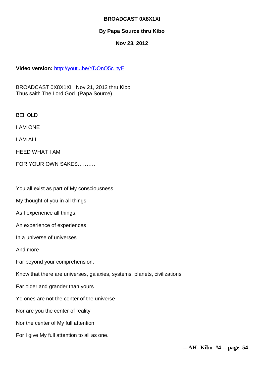# **BROADCAST 0X8X1XI**

# **By Papa Source thru Kibo**

## **Nov 23, 2012**

## **Video version:** [http://youtu.be/YDOnO5c\\_tyE](http://youtu.be/YDOnO5c_tyE)

BROADCAST 0X8X1XI Nov 21, 2012 thru Kibo Thus saith The Lord God (Papa Source)

BEHOLD

I AM ONE

I AM ALL

HEED WHAT I AM

FOR YOUR OWN SAKES……….

You all exist as part of My consciousness

My thought of you in all things

As I experience all things.

An experience of experiences

In a universe of universes

And more

Far beyond your comprehension.

Know that there are universes, galaxies, systems, planets, civilizations

Far older and grander than yours

Ye ones are not the center of the universe

Nor are you the center of reality

Nor the center of My full attention

For I give My full attention to all as one.

**-- AH- Kibo #4 -- page. 54**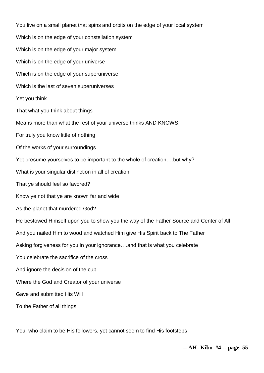You live on a small planet that spins and orbits on the edge of your local system Which is on the edge of your constellation system Which is on the edge of your major system Which is on the edge of your universe Which is on the edge of your superuniverse Which is the last of seven superuniverses Yet you think That what you think about things Means more than what the rest of your universe thinks AND KNOWS. For truly you know little of nothing Of the works of your surroundings Yet presume yourselves to be important to the whole of creation….but why? What is your singular distinction in all of creation That ye should feel so favored? Know ye not that ye are known far and wide As the planet that murdered God? He bestowed Himself upon you to show you the way of the Father Source and Center of All And you nailed Him to wood and watched Him give His Spirit back to The Father Asking forgiveness for you in your ignorance….and that is what you celebrate You celebrate the sacrifice of the cross And ignore the decision of the cup Where the God and Creator of your universe Gave and submitted His Will To the Father of all things

You, who claim to be His followers, yet cannot seem to find His footsteps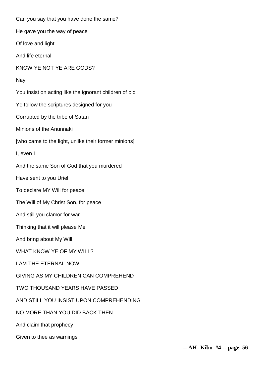Can you say that you have done the same? He gave you the way of peace Of love and light And life eternal KNOW YE NOT YE ARE GODS? Nay You insist on acting like the ignorant children of old Ye follow the scriptures designed for you Corrupted by the tribe of Satan Minions of the Anunnaki [who came to the light, unlike their former minions] I, even I And the same Son of God that you murdered Have sent to you Uriel To declare MY Will for peace The Will of My Christ Son, for peace And still you clamor for war Thinking that it will please Me And bring about My Will WHAT KNOW YE OF MY WILL? I AM THE ETERNAL NOW GIVING AS MY CHILDREN CAN COMPREHEND TWO THOUSAND YEARS HAVE PASSED AND STILL YOU INSIST UPON COMPREHENDING NO MORE THAN YOU DID BACK THEN And claim that prophecy Given to thee as warnings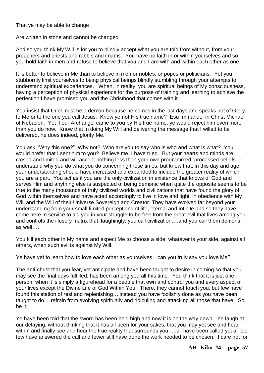That ye may be able to change

Are written in stone and cannot be changed

And so you think My Will is for you to blindly accept what you are told from without, from your preachers and priests and rabbis and imams. You have no faith in or within yourselves and so you hold faith in men and refuse to believe that you and I are with and within each other as one.

It is better to believe in Me than to believe in men or nobles, or popes or politicians. Yet you stubbornly limit yourselves to being physical beings blindly stumbling through your attempts to understand spiritual experiences. When, in reality, you are spiritual beings of My consciousness, having a perception of physical experience for the purpose of training and learning to achieve the perfection I have promised you and the Christhood that comes with it.

You insist that Uriel must be a demon because he comes in the last days and speaks not of Glory to Me or to the one you call Jesus. Know ye not His true name? Esu Immanuel in Christ Michael of Nebadon. Yet if our Archangel came to you by His true name, ye would reject him even more than you do now. Know that in doing My Will and delivering the message that I willed to be delivered, he does indeed, glorify Me.

You ask, 'Why this one?" Why not? Who are you to say who is who and what is what? You would prefer that I sent him to you? Believe me, I have tried. But your hearts and minds are closed and limited and will accept nothing less than your own programmed, processed beliefs. I understand why you do what you do concerning these times, but know that, in this day and age, your understanding should have increased and expanded to include the greater reality of which you are a part. You act as if you are the only civilization in existence that knows of God and serves Him and anything else is suspected of being demonic when quite the opposite seems to be true to the many thousands of truly civilized worlds and civilizations that have found the glory of God within themselves and have acted accordingly to live in love and light, in obedience with My Will and the Will of their Universe Sovereign and Creator. They have evolved far beyond your understanding from your small limited perceptions of life, eternal and infinite and so they have come here in service to aid you in your struggle to be free from the great evil that lives among you and controls the illusory matrix that, laughingly, you call civilization….and you call them demons, as well….

You kill each other in My name and expect Me to choose a side, whatever is your side, against all others, when such evil is against My Will.

Ye have yet to learn how to love each other as yourselves…can you truly say you love Me?

The anti-christ that you fear, yet anticipate and have been taught to desire in coming so that you may see the final days fulfilled, has been among you all this time. You think that it is just one person, when it is simply a figurehead for a people that own and control you and every aspect of your lives except the Divine Life of God Within You. There, they cannot touch you, but few have found this station of rest and replenishing….instead you have foolishly done as you have been taught to do….refrain from evolving spiritually and ridiculing and attacking all those that have. So be it.

Ye have been told that the sword has been held high and now it is on the way down. Ye laugh at our delaying, without thinking that it has all been for your sakes, that you may yet see and hear within and finally see and hear the true reality that surrounds you....all have been called yet all too few have answered the call and fewer still have done the work needed to be chosen. I care not for

**-- AH- Kibo #4 -- page. 57**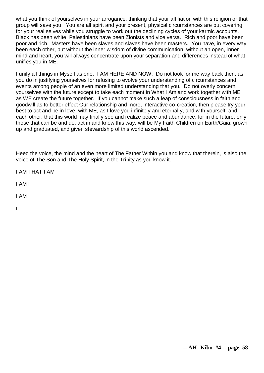what you think of yourselves in your arrogance, thinking that your affiliation with this religion or that group will save you. You are all spirit and your present, physical circumstances are but covering for your real selves while you struggle to work out the declining cycles of your karmic accounts. Black has been white, Palestinians have been Zionists and vice versa. Rich and poor have been poor and rich. Masters have been slaves and slaves have been masters. You have, in every way, been each other, but without the inner wisdom of divine communication, without an open, inner mind and heart, you will always concentrate upon your separation and differences instead of what unifies you in ME.

I unify all things in Myself as one. I AM HERE AND NOW. Do not look for me way back then, as you do in justifying yourselves for refusing to evolve your understanding of circumstances and events among people of an even more limited understanding that you. Do not overly concern yourselves with the future except to take each moment in What I Am and work together with ME as WE create the future together. If you cannot make such a leap of consciousness in faith and goodwill as to better effect Our relationship and more, interactive co-creation, then please try your best to act and be in love, with ME, as I love you infinitely and eternally, and with yourself and each other, that this world may finally see and realize peace and abundance, for in the future, only those that can be and do, act in and know this way, will be My Faith Children on Earth/Gaia, grown up and graduated, and given stewardship of this world ascended.

Heed the voice, the mind and the heart of The Father Within you and know that therein, is also the voice of The Son and The Holy Spirit, in the Trinity as you know it.

I AM THAT I AM

I AM I

I AM

I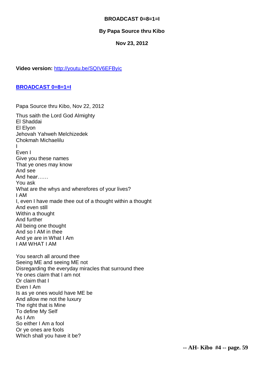# **BROADCAST 0=8=1=I**

# **By Papa Source thru Kibo**

### **Nov 23, 2012**

**Video version:** <http://youtu.be/SQIV6EFByic>

#### **[BROADCAST 0=8=1=I](http://abundanthope.net/854ol30yaW_3x/index.php?topic=2098.msg36347#msg36347)**

Papa Source thru Kibo, Nov 22, 2012 Thus saith the Lord God Almighty El Shaddai El Elyon Jehovah Yahweh Melchizedek Chokmah Michaelilu I Even I Give you these names That ye ones may know And see And hear…… You ask What are the whys and wherefores of your lives? I AM I, even I have made thee out of a thought within a thought And even still Within a thought And further All being one thought And so I AM in thee And ye are in What I Am I AM WHAT I AM

You search all around thee Seeing ME and seeing ME not Disregarding the everyday miracles that surround thee Ye ones claim that I am not Or claim that I Even I Am Is as ye ones would have ME be And allow me not the luxury The right that is Mine To define My Self As I Am So either I Am a fool Or ye ones are fools Which shall you have it be?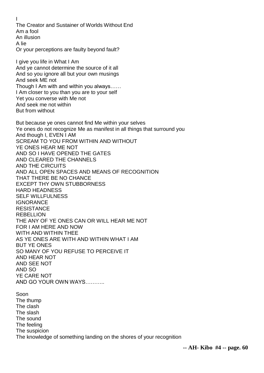I The Creator and Sustainer of Worlds Without End Am a fool An illusion A lie Or your perceptions are faulty beyond fault? I give you life in What I Am And ye cannot determine the source of it all And so you ignore all but your own musings And seek ME not Though I Am with and within you always…… I Am closer to you than you are to your self Yet you converse with Me not And seek me not within But from without But because ye ones cannot find Me within your selves Ye ones do not recognize Me as manifest in all things that surround you And though I, EVEN I AM SCREAM TO YOU FROM WITHIN AND WITHOUT YE ONES HEAR ME NOT AND SO I HAVE OPENED THE GATES AND CLEARED THE CHANNELS AND THE CIRCUITS AND ALL OPEN SPACES AND MEANS OF RECOGNITION THAT THERE BE NO CHANCE EXCEPT THY OWN STUBBORNESS HARD HEADNESS SELF WILLFULNESS **IGNORANCE** RESISTANCE **REBELLION** THE ANY OF YE ONES CAN OR WILL HEAR ME NOT FOR I AM HERE AND NOW WITH AND WITHIN THEE AS YE ONES ARE WITH AND WITHIN WHAT I AM BUT YE ONES SO MANY OF YOU REFUSE TO PERCEIVE IT AND HEAR NOT AND SEE NOT AND SO YE CARE NOT AND GO YOUR OWN WAYS……….. Soon The thump The clash The slash The sound The feeling The suspicion The knowledge of something landing on the shores of your recognition

**-- AH- Kibo #4 -- page. 60**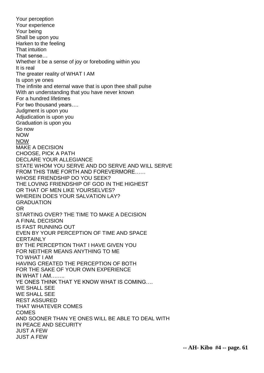Your perception Your experience Your being Shall be upon you Harken to the feeling That intuition That sense… Whether it be a sense of joy or foreboding within you It is real The greater reality of WHAT I AM Is upon ye ones The infinite and eternal wave that is upon thee shall pulse With an understanding that you have never known For a hundred lifetimes For two thousand years…. Judgment is upon you Adjudication is upon you Graduation is upon you So now NOW NOW MAKE A DECISION CHOOSE, PICK A PATH DECLARE YOUR ALLEGIANCE STATE WHOM YOU SERVE AND DO SERVE AND WILL SERVE FROM THIS TIME FORTH AND FOREVERMORE…… WHOSE FRIENDSHIP DO YOU SEEK? THE LOVING FRIENDSHIP OF GOD IN THE HIGHEST OR THAT OF MEN LIKE YOURSELVES? WHEREIN DOES YOUR SALVATION LAY? **GRADUATION** OR STARTING OVER? THE TIME TO MAKE A DECISION A FINAL DECISION IS FAST RUNNING OUT EVEN BY YOUR PERCEPTION OF TIME AND SPACE **CERTAINLY** BY THE PERCEPTION THAT I HAVE GIVEN YOU FOR NEITHER MEANS ANYTHING TO ME TO WHAT I AM HAVING CREATED THE PERCEPTION OF BOTH FOR THE SAKE OF YOUR OWN EXPERIENCE IN WHAT I AM…….. YE ONES THINK THAT YE KNOW WHAT IS COMING…. WE SHALL SEE WE SHALL SEE REST ASSURED THAT WHATEVER COMES COMES AND SOONER THAN YE ONES WILL BE ABLE TO DEAL WITH IN PEACE AND SECURITY JUST A FEW JUST A FEW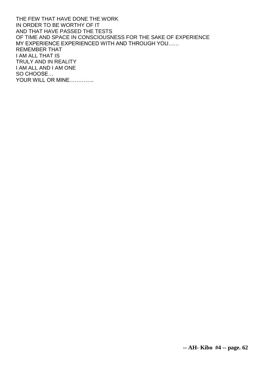THE FEW THAT HAVE DONE THE WORK IN ORDER TO BE WORTHY OF IT AND THAT HAVE PASSED THE TESTS OF TIME AND SPACE IN CONSCIOUSNESS FOR THE SAKE OF EXPERIENCE MY EXPERIENCE EXPERIENCED WITH AND THROUGH YOU…… REMEMBER THAT I AM ALL THAT IS TRULY AND IN REALITY I AM ALL AND I AM ONE SO CHOOSE… YOUR WILL OR MINE…………..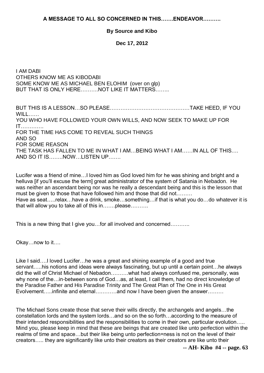**A MESSAGE TO ALL SO CONCERNED IN THIS…….ENDEAVOR……….** 

## **By Source and Kibo**

**Dec 17, 2012**

I AM DABI OTHERS KNOW ME AS KIBODABI SOME KNOW ME AS MICHAEL BEN ELOHIM (over on glp) BUT THAT IS ONLY HERE……….NOT LIKE IT MATTERS……..

BUT THIS IS A LESSON…SO PLEASE………………………………………TAKE HEED, IF YOU WILL…… YOU WHO HAVE FOLLOWED YOUR OWN WILLS, AND NOW SEEK TO MAKE UP FOR IT…………. FOR THE TIME HAS COME TO REVEAL SUCH THINGS AND SO FOR SOME REASON THE TASK HAS FALLEN TO ME IN WHAT I AM…BEING WHAT I AM……IN ALL OF THIS…. AND SO IT IS……..NOW…LISTEN UP…….

Lucifer was a friend of mine…I loved him as God loved him for he was shining and bright and a helluva [if you'll excuse the term] great administrator of the system of Satania in Nebadon. He was neither an ascendant being nor was he really a descendant being and this is the lesson that must be given to those that have followed him and those that did not……… Have as seat…..relax…have a drink, smoke…something…if that is what you do…do whatever it is that will allow you to take all of this in…….please……….

This is a new thing that I give you…for all involved and concerned………..

Okay…now to it….

Like I said….I loved Lucifer…he was a great and shining example of a good and true servant…..his notions and ideas were always fascinating, but up until a certain point…he always did the will of Christ Michael of Nebadon……….what had always confused me, personally, was why none of the…in-between sons of God…as, at least, I call them, had no direct knowledge of the Paradise Father and His Paradise Trinity and The Great Plan of The One in His Great Evolvement…..infinite and eternal…………and now I have been given the answer………

The Michael Sons create those that serve their wills directly, the archangels and angels…the constellation lords and the system lords…and so on the so forth…according to the measure of their intended responsibilities and the responsibilities to come in their own, particular evolution….. Mind you, please keep in mind that these are beings that are created like unto perfection within the realms of time and space…but their like being unto perfection=ness is not on the level of their creators….. they are significantly like unto their creators as their creators are like unto their

**-- AH- Kibo #4 -- page. 63**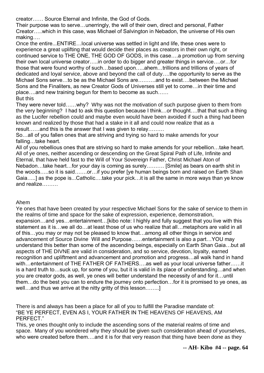creator…… Source Eternal and Infinite, the God of Gods.

Their purpose was to serve…unerringly, the will of their own, direct and personal, Father Creator…..which in this case, was Michael of Salvington in Nebadon, the universe of His own making….

Once the entire...ENTIRE…local universe was settled in light and life, these ones were to experience a great uplifting that would decide their places as creators in their own right, or continued service to THE ONE, THE GOD OF GODS, in this case….a promotion up from serving their own local universe creator…..in order to do bigger and greater things in service….or…for those that were found worthy of such…based upon…..ahem…trillions and trillions of years of dedicated and loyal service, above and beyond the call of duty….the opportunity to serve as the Michael Sons serve…to be as the Michael Sons are……….and to exist….between the Michael Sons and the Finaliters, as new Creator Gods of Universes still yet to come…in their time and place….and new training begun for them to become as such…… But this

They were never told……why? Why was not the motivation of such purpose given to them from the very beginning? I had to ask this question because I think…or thought….that that such a thing as the Lucifer rebellion could and maybe even would have been avoided if such a thing had been known and realized by those that had a stake in it all and could now realize that as a result……and this is the answer that I was given to relay………

So…all of you fallen ones that are striving and trying so hard to make amends for your falling…take heart.

All of you rebellious ones that are striving so hard to make amends for your rebellion…take heart. All of ye ones, neither ascending or descending on the Great Spiral Path of Life, Infinite and Eternal, that have held fast to the Will of Your Sovereign Father, Christ Michael Aton of Nebadon…take heart…for your day is coming as surely………. [Smile] as bears on earth shit in the woods…..so it is said…….or…if you prefer [ye human beings born and raised on Earth Shan Gaia…..] as the pope is...Catholic….take your pick…it is all the same in more ways than ye know and realize………

### Ahem

Ye ones that have been created by your respective Michael Sons for the sake of service to them in the realms of time and space for the sake of expression, experience, demonstration, expansion…and yes…entertainment…[kibo note: I highly and fully suggest that you live with this statement as it is…we all do…at least those of us who realize that all…metaphors are valid in all of this…you may or may not be pleased to know that…among all other things in service and advancement of Source Divine Will and Purpose……entertainment is also a part…YOU may understand this better than some of the ascending beings, especially on Earth Shan Gaia…but all aspects of THE DIVNE are valid in consideration, and so service, devotion, loyalty, earned recognition and upliftment and advancement and promotion and progress…all walk hand in hand with…entertainment of THE FATHER OF FATHERS….as well as your local universe father……it is a hard truth to…suck up, for some of you, but it is valid in its place of understanding…and when you are creator gods, as well, ye ones will better understand the necessity of and for it…until them…do the best you can to endure the journey onto perfection…for it is promised to ye ones, as well…and thus we arrive at the nitty gritty of this lesson……..

There is and always has been a place for all of you to fulfill the Paradise mandate of: "BE YE PERFECT, EVEN AS I, YOUR FATHER IN THE HEAVENS OF HEAVENS, AM PERFECT."

This, ye ones thought only to include the ascending sons of the material realms of time and space. Many of you wondered why they should be given such consideration ahead of yourselves, who were created before them....and it is for that very reason that thing have been done as they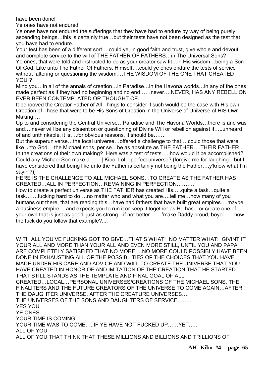have been done!

Ye ones have not endured.

Ye ones have not endured the sufferings that they have had to endure by way of being purely ascending beings…this is certainly true…but their tests have not been designed as the test that you have had to endure.

Your test has been of a different sort….could ye, in good faith and trust, give whole and devout and complete service to the will of THE FATHER OF FATHERS…in The Universal Sons? Ye ones, that were told and instructed to do as your creator saw fit…in His wisdom…being a Son Of God, Like unto The Father Of Fathers, Himself….could ye ones endure the tests of service without faltering or questioning the wisdom….THE WISDOM OF THE ONE THAT CREATED YOU!?

Mind you…in all of the annals of creation…in Paradise…in the Havona worlds…in any of the ones made perfect as if they had no beginning and no end……never….NEVER, HAS ANY REBELLION EVER BEEN CONTEMPLATED OR THOUGHT OF.

It behooved the Creator Father of All Things to consider if such would be the case with His own Creation of Those that were to be His Sons of Creation in the Universe of Universe of HIS Own Making….

Up to and considering the Central Universe…Paradise and The Havona Worlds…there is and was and….never will be any dissention or questioning of Divine Will or rebellion against it…..unheard of and unthinkable, it is….for obvious reasons, it should be……

But the superuniverse…the local universe…offered a challenge to that….could those that were like unto God....the Michael sons, per se...be as absolute as THE FATHER....THEIR FATHER.... In the creations of their own making? Here was a test of tests…..how would it be accomplished? Could any Michael Son make a…… [ Kibo: Lol…perfect universe? (forgive me for laughing…but I have considered that being like unto the Father is certainly not being the Father...y'know what I'm sayin'?)]

HERE IS THE CHALLENGE TO ALL MICHAEL SONS…TO CREATE AS THE FATHER HAS CREATED…ALL IN PERFECTION…REMAINING IN PERFECTION……….

How to create a perfect universe as THE FATHER has created His…..quite a task…quite a task…….fucking hard to do….no matter who and what you are….tell me…how many of you humans out there, that are reading this…have had fathers that have built great empires….maybe a business empire….and expects you to run it or keep it together as He has…or create one of your own that is just as good, just as strong…if not better…….'make Daddy proud, boyo'……how the fuck do you follow that example?....

```
WITH ALL YOU'VE FUCKING GOT TO GIVE…THAT'S WHAT! NO MATTER WHAT! GIVINT IT 
YOUR ALL AND MORE THAN YOUR ALL AND EVEN MORE STILL, UNTIL YOU AND PAPA 
ARE COMPLETELY SATISFIED THAT NO MORE….NO MORE COULD POSSIBLY HAVE BEEN 
DONE IN EXHAUSTING ALL OF THE POSSIBLITIES OF THE CHOICES THAT YOU HAVE 
MADE UNDER HIS CARE AND ADVICE AND WILL TO CREATE THE UNIVERSE THAT YOU 
HAVE CREATED IN HONOR OF AND IMITATION OF THE CREATION THAT HE STARTED 
THAT STILL STANDS AS THE TEMPLATE AND FINAL GOAL OF ALL 
CREATED…LOCAL…PERSONAL UNIVERSES/CREATIONS OF THE MICHAEL SONS, THE 
FINALITERS AND THE FUTURE CREATORS OF THE UNIVERSE TO COME AGAIN…AFTER 
THE DAUGHTER UNIVERSE, AFTER THE CREATURE UNIVERSES….
THE UNIVERSES OF THE SONS AND DAUGHTERS OF SERVICE……..
YES YOU
YE ONES
YOUR TIME IS COMING
YOUR TIME WAS TO COME…..IF YE HAVE NOT FUCKED UP……YET…..
ALL OF YOU
ALL OF YOU THAT THINK THAT THESE MILLIONS AND BILLIONS AND TRILLIONS OF
```
**-- AH- Kibo #4 -- page. 65**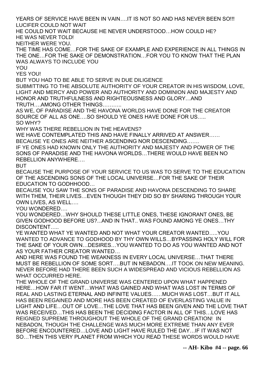YEARS OF SERVICE HAVE BEEN IN VAIN….IT IS NOT SO AND HAS NEVER BEEN SO!!! LUCIFER COULD NOT WAIT

HE COULD NOT WAIT BECAUSE HE NEVER UNDERSTOOD…HOW COULD HE? HE WAS NEVER TOLD!

NEITHER WERE YOU.

THE TIME HAS COME…FOR THE SAKE OF EXAMPLE AND EXPERIENCE IN ALL THINGS IN THE ONE…FOR THE SAKE OF DEMONSTRATION…FOR YOU TO KNOW THAT THE PLAN WAS ALWAYS TO INCLUDE YOU

YOU

YES YOU!

BUT YOU HAD TO BE ABLE TO SERVE IN DUE DILIGENCE

SUBMITTING TO THE ABSOLUTE AUTHORITY OF YOUR CREATOR IN HIS WISDOM, LOVE, LIGHT AND MERCY AND POWER AND AUTHORITY AND DOMINION AND MAJESTY AND HONOR AND TRUTHFULNESS AND RIGHTEOUSNESS AND GLORY…AND

TRUTH….AMONG OTHER THINGS………..

AS WE, OF PARADISE AND THE HAVONA WORLDS HAVE DONE FOR THE CREATOR SOURCE OF ALL AS ONE….SO SHOULD YE ONES HAVE DONE FOR US…..

SO WHY?

WHY WAS THERE REBELLION IN THE HEAVENS?

WE HAVE CONTEMPLATED THIS AND HAVE FINALLY ARRIVED AT ANSWER…… BECAUSE YE ONES ARE NEITHER ASCENDING NOR DESCENDING…….

IF YE ONES HAD KNOWN ONLY THE AUTHORITY AND MAJESTY AND POWER OF THE SONS OF PARADISE AND THE HAVONA WORLDS…THERE WOULD HAVE BEEN NO REBELLION ANYWHERE….

BUT

BECAUSE THE PURPOSE OF YOUR SERVICE TO US WAS TO SERVE TO THE EDUCATION OF THE ASCENDING SONS OF THE LOCAL UNIVERSE…FOR THE SAKE OF THEIR EDUCATION TO GODHHOOD…

BECAUSE YOU SAW THE SONS OF PARADISE AND HAVONA DESCENDING TO SHARE WITH THEM, THEIR LIVES…EVEN THOUGH THEY DID SO BY SHARING THROUGH YOUR OWN LIVES, AS WELL….

YOU WONDERED….

YOU WONDERED…WHY SHOULD THESE LITTLE ONES, THESE IGNORANT ONES, BE GIVEN GODHOOD BEFORE US?...AND IN THAT.. WAS FOUND AMONG YE ONES…THY DISCONTENT…..

YE WANTED WHAT YE WANTED AND NOT WHAT YOUR CREATOR WANTED…..YOU WANTED TO ADVANCE TO GODHOOD BY THY OWN WILLS…BYPASSING HOLY WILL FOR THE SAKE OF YOUR OWN…DESIRES…YOU WANTED TO DO AS YOU WANTED AND NOT AS YOUR FATHER CREATOR WANTED…

AND HERE WAS FOUND THE WEAKNESS IN EVERY LOCAL UNIVERSE…THAT THERE MUST BE REBELLION OF SOME SORT….BUT IN NEBADON….IT TOOK ON NEW MEANING. NEVER BEFORE HAD THERE BEEN SUCH A WIDESPREAD AND VICIOUS REBELLION AS WHAT OCCURRED HERE.

THE WHOLE OF THE GRAND UNIVERSE WAS CENTERED UPON WHAT HAPPENED HERE…HOW FAR IT WENT…WHAT WAS GAINED AND WHAT WAS LOST IN TERMS OF REAL AND LASTING ETERNAL AND INFINITE VALUES……MUCH WAS LOST…BUT IT ALL HAS BEEN REGAINED AND MORE HAS BEEN CREATED OF EVERLASTING VALUE IN LIGHT AND LIFE…OUT OF LOVE…THE LOVE THAT HAS BEEN GIVEN AND THE LOVE THAT WAS RECEIVED…THIS HAS BEEN THE DECIDING FACTOR IN ALL OF THIS…LOVE HAS REIGNED SUPREME THROUGHOUT THE WHOLE OF THE GRAND CREATION! IN NEBADON, THOUGH THE CHALLENGE WAS MUCH MORE EXTREME THAN ANY EVER BEFORE ENCOUNTERED…LOVE AND LIGHT HAVE RULED THE DAY…IF IT WAS NOT SO…THEN THIS VERY PLANET FROM WHICH YOU READ THESE WORDS WOULD HAVE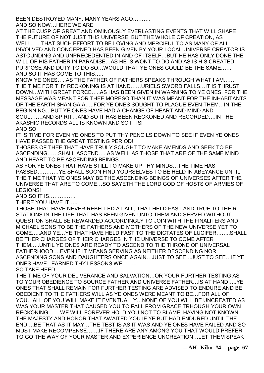BEEN DESTROYED MANY, MANY YEARS AGO………. AND SO NOW…HERE WE ARE

AT THE CUSP OF GREAT AND OMINOUSLY EVERLASTING EVENTS THAT WILL SHAPE THE FUTURE OF NOT JUST THIS UNIVERSE, BUT THE WHOLE OF CREATION, AS WELL……THAT SUCH EFFORT TO BE LOVING AND MERCIFUL TO AS MANY OF ALL INVOLVED AND CONCERNED HAS BEEN GIVEN BY YOUR LOCAL UNIVERSE CREATOR IS ASTOUNDING AND UNPRECEDENTED IN AND OF ITSELF…BUT HE HAS ONLY DONE THE WILL OF HIS FATHER IN PARADISE…AS HE IS WONT TO DO AND AS IS HIS CREATED PURPOSE AND DUTY TO DO SO…WOULD THAT YE ONES COULD BE THE SAME…… AND SO IT HAS COME TO THIS…..

KNOW YE ONES…..AS THE FATHER OF FATHERS SPEAKS THROUGH WHAT I AM……. THE TIME FOR THY RECKONING IS AT HAND……URIELS SWORD FALLS…IT IS THRUST DOWN…WITH GREAT FORCE…..AS HAS BEEN GIVEN IN WARNING TO YE ONES, FOR THE MESSAGE WAS MEANT FOR THEE MORESO THAN IT WAS MEANT FOR THE INHABITANTS OF THE EARTH SHAN GAIA…..FOR YE ONES SOUGHT TO PLAGUE EVEN THEM…IN THE BEGINNING…BUT YE ONES HAVE HAD A CHANGE OF HEART AND MIND AND SOUL…….AND SPIRIT…AND SO IT HAS BEEN RECKONED AND RECORDED….IN THE AKASHIC RECORDS ALL IS KNOWN AND SO IT IS! AND SO

IT IS TIME FOR EVEN YE ONES TO PUT THY PENCILS DOWN TO SEE IF EVEN YE ONES HAVE PASSED THE GREAT TESTING PERIOD!

THOSES OF THEE THAT HAVE TRULY SOUGHT TO MAKE AMENDS AND SEEK TO BE ASCENDING……SHALL ASCEND…..AS WELL AS THOSE THAT ARE OF THE SAME MIND AND HEART TO BE ASCENDING BEINGS….

AS FOR YE ONES THAT HAVE STILL TO MAKE UP THY MINDS…THE TIME HAS PASSED…………YE SHALL SOON FIND YOURSELVES TO BE HELD IN ABEYANCE UNTIL THE TIME THAT YE ONES MAY BE THE ASCENDING BEINGS OF UNIVERSES AFTER THE UNIVERSE THAT ARE TO COME…SO SAYETH THE LORD GOD OF HOSTS OF ARMIES OF LEGIONS!

AND SO IT IS……………

THERE YOU HAVE IT…..

THOSE THAT HAVE NEVER REBELLED AT ALL, THAT HELD FAST AND TRUE TO THEIR STATIONS IN THE LIFE THAT HAS BEEN GIVEN UNTO THEM AND SERVED WITHOUT QUESTION SHALL BE REWARDED ACCORDINGLY TO JOIN WITH THE FINALITERS AND MICHAEL SONS TO BE THE FATHERS AND MOTHERS OF THE NEW UNIVERSE YET TO COME…..AND YE…YE THAT HAVE HELD FAST TO THE DICTATES OF LUCIFER……..SHALL BE THER CHARGES OF THEIR CHARGES IN THE UNIVERSE TO COME AFTER THEM…..UNTIL YE ONES ARE READY TO ASCEND TO THE THRONE OF UNIVERSAL FATHERHOOD….EVEN IF IT MEANS SERVING AS NEITHER DESCENDING NOR ASCENDING SONS AND DAUGHTERS ONCE AGAIN…JUST TO SEE…JUST TO SEE…IF YE ONES HAVE LEARNED THY LESSONS WELL…..

SO TAKE HEED

THE TIME OF YOUR DELIVERANCE AND SALVATION…OR YOUR FURTHER TESTING AS TO YOUR OBEDIENCE TO SOURCE FATHER AND UNIVERSE FATHER…IS AT HAND…..YE ONES THAT SHALL REMAIN FOR FURTHER TESTING ARE ADVISED TO ENDURE AND BE OBEDIENT TO THE FATHERS WILL AS YE ONES WERE MEANT TO BE…FOR ALL OF YOU…ALL OF YOU WILL MAKE IT EVENTUALLY…NONE OF YOU WILL BE UNCREATED AS WAS YOUR MASTER THAT CAUSED YOU TO FALL FROM GRACE TRHOUGH YOUR OWN RECKONING…….WE WILL FOREVER HOLD YOU NOT TO BLAME..HAVING NOT KNOWN THE MAJESTY AND HONOR THAT AWAITED YOU IF YE BUT HAD ENDURED UNTIL THE END….BE THAT AS IT MAY…THE TEST IS AS IT WAS AND YE ONES HAVE FAILED AND SO MUST MAKE RECOMPENSE…….IF THERE ARE ANY AMONG YOU THAT WOULD PREFER TO GO THE WAY OF YOUR MASTER AND EXPERIENCE UNCREATION…LET THEM SPEAK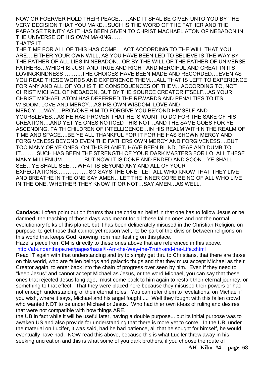NOW OR FOERVER HOLD THEIR PEACE……AND IT SHAL BE GIVEN UNTO YOU BY THE VERY DECISION THAT YOU MAKE…SUCH IS THE WORD OF THE FATHER AND THE PARADISE TRINITY AS IT HAS BEEN GIVEN TO CHRIST MACHAEL ATON OF NEBADON IN THE UNIVERSE OF HIS OWN MAKING……

THAT'S IT

THE TIME FOR ALL OF THIS HAS COME….ACT ACCORDING TO THE WILL THAT YOU ARE….EITHER YOUR OWN WILL, AS YOU HAVE BEEN LED TO BELIEVE IS THE WAY BY THE FATHER OF ALL LIES IN NEBADON…OR BY THE WILL OF THE FATHER OF UNIVERSE FATHERS…WHICH IS JUST AND TRUE AND RIGHT AND MERCIFUL AND GREAT IN ITS LOVINGKINDNESS………..THE CHOICES HAVE BEEN MADE AND RECORDED….EVEN AS YOU READ THESE WORDS AND EXPERIENCE THEM….ALL THAT IS LEFT TO EXPERIENCE FOR ANY AND ALL OF YOU IS THE CONSEQUENCES OF THEM…ACCORDING TO, NOT CHRIST MICHAEL OF NEBADON, BUT BY THE SOURCE CREATOR ITSELF…AS YOUR CHRIST MICHAEL ATON HAS DEFERRED THE REWARDS AND PENALTIES TO ITS WISDOM, LOVE AND MERCY…AS HIS OWN WISDOM, LOVE AND MERCY…..MAY….PROVOKE HIM TO FORGIVE YOU BEYOND HIMSELF AND YOURSLEVES…AS HE HAS PROVEN THAT HE IS WONT TO DO FOR THE SAKE OF HIS CREATION….AND YET YE ONES NOTICED THIS NOT…AND THE SAME GOES FOR YE ASCENDING, FAITH CHILDREN OF INTELLIGENCE…IN HIS REALM WITHIN THE REALM OF TIME AND SPACE….BE YE ALL THANKFUL FOR IT FOR HE HAS SHOWN MERCY AND FORGIVENESS BEYOND EVEN THE FATHERS OWN MERCY AND FORGIVENESS….BUT TOO MANY OF YE ONES, ON THIS PLANET, HAVE BEEN BLIND, DEAF AND DUMB TO IT………SUCH HAS BEEN THE STRENGTH OF YOUR DARK MASTERS FOR LO, ALL THESE MANY MILLENIUM………….BUT NOW IT IS DONE AND ENDED AND SOON…YE SHALL SEE…YE SHALL SEE…..WHAT IS BEYOND ANY AND ALL OF YOUR EXPECTATIONS………………SO SAYS THE ONE. LET ALL WHO KNOW THAT THEY LIVE AND BREATHE IN THE ONE SAY AMEN…LET THE INNER CORE BEING OF ALL WHO LIVE IN THE ONE, WHETHER THEY KNOW IT OR NOT…SAY AMEN…AS WELL.

**Candace:** I often point out on forums that the christian belief in that one has to follow Jesus or be damned, the teaching of those days was meant for all these fallen ones and not the normal evolutionary folks of this planet, but it has been deliberately misused in the Christian Religion, on purpose, to get those that cannot yet reason well, to be part of the division between religions on this world that keeps God Knowing from manifesting on this place.

Hazel's piece from CM is directly to these ones above that are referenced in this above. <http://abundanthope.net/pages/hazel/I-Am-the-Way-the-Truth-and-the-Life.shtml>

Read IT again with that understanding and try to simply get thru to Christians, that there are those on this world, who are fallen beings and galactic thugs and that they must accept MIchael as their Creator again, to enter back into the chain of progress over seen by him. Even if they need to "keep Jesus" and cannot accept Michael as Jesus, or the word Michael, you can say that these ones that rejected Jesus long ago, must come back to him again to restart their eternal journey, or something to that effect. That they were placed here because they misused their powers or had not enough understanding of their eternal roles. You can refer them to revelations, on Michael if you wish, where it says, Michael and his angel fought..... Well they fought with this fallen crowd who wanted NOT to be under Michael or Jesus. Who had thier own ideas of ruling and desires that were not compatible with how things ARE.

the UB in fact while it will be useful later, having a double purpose... but its initial purpose was to awaken US and also provide for understanding that there is more yet to come. In the UB, under the material on Lucifer, it was said, had he had patience, all that he sought for himself, he would eventually have had. NOW read this above, because this is what Lucifer threw away in his seeking uncreation and this is what some of you dark brothers, if you choose the route of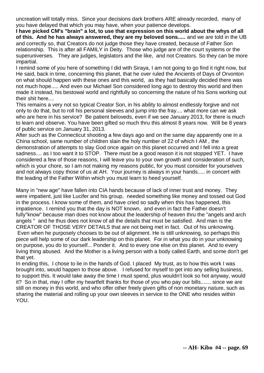uncreation will totally miss. Since your decisions dark brothers ARE already recorded, many of you have delayed that which you may have, when your patience develops.

**I have picked CM's "brain" a lot, to use that expression on this world about the whys of all of this. And he has always answered, they are my beloved sons.....** and we are told in the UB and correctly so, that Creators do not judge those they have created, because of Father Son relationship. This is after all FAMILY in Deity. Those who judge are of the court systems or the superuniverses. They are judges, legislators and the like, and not Creators. So they can be more impartial.

I remind some of you here of something I did with Siraya, I am not going to go find it right now, but He said, back in time, concerning this planet, that he over ruled the Ancients of Days of Orvonton on what should happen with these ones and this world, as they had basically decided there was not much hope..... And even our Michael Son considered long ago to destroy this world and then made it instead, his bestowal world and rightfully so concerning the nature of his Sons working out their shit here....

This remains a very not so typical Creator Son, in his ability to almost endlessly forgive and not only to do that, but to roll his personal sleeves and jump into the fray.... what more can we ask who are here in his service? Be patient beloveds, even if we see January 2013, for there is much to learn and observe. You have been gifted so much thru this almost 8 years now. Will be 8 years of public service on January 31, 2013.

After such as the Connecticut shooting a few days ago and on the same day apparently one in a China school, same number of children slain the holy number of 22 of which I AM , the demonstration of attempts to slay God once again on this planet occurred and I fell into a great sadness.... as I too want it to STOP. There must be a good reason it is not stopped YET. I have considered a few of those reasons, I will leave you to your own growth and consideration of such, which is your chore, so I am not making my reasons public, for you must consider for yourselves and not always copy those of us at AH. Your journey is always in your hands..... in concert with the leading of the Father Within which you must learn to heed yourself.

Many in "new age" have fallen into CIA hands because of lack of inner trust and money. They were impatient, just like Lucifer and his group, needed something like money and tossed out God in the process. I know some of them, and have cried so sadly when this has happened, this impatience. I remind you that the day is NOT known, and even in fact the Father doesn't fully"know" because man does not know about the leadership of heaven thru the "angels and arch angels " and he thus does not know of all the details that must be satisfied. And man is the CREATOR OF THOSE VERY DETAILS that are not being met in fact. Out of his unknowing. Even when he purposely chooses to be out of alignment. He is still unknowing, so perhaps this piece will help some of our dark leadership on this planet. For in what you do in your unknowing on purpose, you do to yourself... Ponder it. And to every one else on this planet. And to every living thing abused. And the Mother is a living person with a body called Earth, and some don't get that yet.

In ending this, I chose to lie in the hands of God. I placed My trust, as to how this work I was brought into, would happen to those above. I refused for myself to get into any selling business, to support this. It would take away the time I must spend, plus wouldn't look so hot anyway, would it? So in that, may I offer my heartfelt thanks for those of you who pay our bills....... since we are still on money in this world, and who offer other freely given gifts of non monetary nature, such as sharing the material and rolling up your own sleeves in service to the ONE who resides within YOU.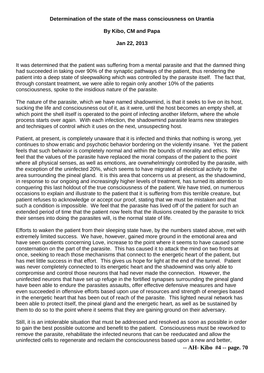## **By Kibo, CM and Papa**

**Jan 22, 2013**

It was determined that the patient was suffering from a mental parasite and that the damned thing had succeeded in taking over 90% of the synaptic pathways of the patient, thus rendering the patient into a deep state of sleepwalking which was controlled by the parasite itself. The fact that, through constant treatment, we were able to regain only another 10% of the patients consciousness, spoke to the insidious nature of the parasite.

The nature of the parasite, which we have named shadowmind, is that it seeks to live on its host, sucking the life and consciousness out of it, as it were, until the host becomes an empty shell, at which point the shell itself is operated to the point of infecting another lifeform, where the whole process starts over again. With each infection, the shadowmind parasite learns new strategies and techniques of control which it uses on the next, unsuspecting host.

Patient, at present, is completely unaware that it is infected and thinks that nothing is wrong, yet continues to show erratic and psychotic behavior bordering on the violently insane. Yet the patient feels that such behavior is completely normal and within the bounds of morality and ethics. We feel that the values of the parasite have replaced the moral compass of the patient to the point where all physical senses, as well as emotions, are overwhelmingly controlled by the parasite, with the exception of the uninfected 20%, which seems to have migrated all electrical activity to the area surrounding the pineal gland. It is this area that concerns us at present, as the shadowmind, in response to our ongoing and increasingly higher levels of treatment, has turned its attention to conquering this last holdout of the true consciousness of the patient. We have tried, on numerous occasions to explain and illustrate to the patient that it is suffering from this terrible creature, but patient refuses to acknowledge or accept our proof, stating that we must be mistaken and that such a condition is impossible. We feel that the parasite has lived off of the patient for such an extended period of time that the patient now feels that the illusions created by the parasite to trick their senses into doing the parasites will, is the normal state of life.

Efforts to waken the patient from their sleeping state have, by the numbers stated above, met with extremely limited success. We have, however, gained more ground in the emotional area and have seen quotients concerning Love, increase to the point where it seems to have caused some consternation on the part of the parasite. This has caused it to attack the mind on two fronts at once, seeking to reach those mechanisms that connect to the energetic heart of the patient, but has met little success in that effort. This gives us hope for light at the end of the tunnel. Patient was never completely connected to its energetic heart and the shadowmind was only able to compromise and control those neurons that had never made the connection. However, the uninfected neurons that have set up refuge in the fortified synapses surrounding the pineal gland have been able to endure the parasites assaults, offer effective defensive measures and have even succeeded in offensive efforts based upon use of resources and strength of energies based in the energetic heart that has been out of reach of the parasite. This lighted neural network has been able to protect itself, the pineal gland and the energetic heart, as well as be sustained by them to do so to the point where it seems that they are gaining ground on their adversary.

Still, it is an intolerable situation that must be addressed and resolved as soon as possible in order to gain the best possible outcome and benefit to the patient. Consciousness must be reworked to remove the parasite, rehabilitate the infected neurons that can be reeducated and allow the uninfected cells to regenerate and reclaim the consciousness based upon a new and better,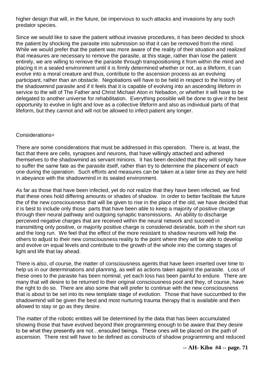higher design that will, in the future, be impervious to such attacks and invasions by any such predator species.

Since we would like to save the patient without invasive procedures, it has been decided to shock the patient by shocking the parasite into submission so that it can be removed from the mind. While we would prefer that the patient was more aware of the reality of their situation and realized that measures are necessary to remove the parasite, at this stage, rather than lose the patient entirely, we are willing to remove the parasite through transpositioning it from within the mind and placing it in a sealed environment until it is firmly determined whether or not, as a lifeform, it can evolve into a moral creature and thus, contribute to the ascension process as an evolving participant, rather than an obstacle. Negotiations will have to be held in respect to the history of the shadowmind parasite and if it feels that it is capable of evolving into an ascending lifeform in service to the will of The Father and Christ Michael Aton in Nebadon, or whether it will have to be delegated to another universe for rehabilitation. Everything possible will be done to give it the best opportunity to evolve in light and love as a collective lifeform and also as individual parts of that lifeform, but they cannot and will not be allowed to infect patient any longer.

### Considerations=

There are some considerations that must be addressed in this operation. There is, at least, the fact that there are cells, synapses and neurons, that have willingly attached and adhered themselves to the shadowmind as servant minions. It has been decided that they will simply have to suffer the same fate as the parasite itself, rather than try to determine the placement of each one during the operation. Such efforts and measures can be taken at a later time as they are held in abeyance with the shadowmind in its sealed environment.

As far as those that have been infected, yet do not realize that they have been infected, we find that these ones hold differing amounts or shades of shadow. In order to better facilitate the future the of the new consciousness that will be given to rise in the place of the old, we have decided that it is best to include only those parts that have been able to keep a majority of positive charge through their neural pathway and outgoing synaptic transmissions. An ability to discharge perceived negative charges that are received within the neural network and succeed in transmitting only positive, or majority positive charge is considered desirable, both in the short run and the long run. We feel that the effect of the more resistant to shadow neurons will help the others to adjust to their new consciousness reality to the point where they will be able to develop and evolve on equal levels and contribute to the growth of the whole into the coming stages of light and life that lay ahead.

There is also, of course, the matter of consciousness agents that have been inserted over time to help us in our determinations and planning, as well as actions taken against the parasite. Loss of these ones to the parasite has been nominal, yet each loss has been painful to endure. There are many that will desire to be returned to their original consciousness pool and they, of course, have the right to do so. There are also some that will prefer to continue with the new consciousness that is about to be set into its new template stage of evolution. Those that have succumbed to the shadowmind will be given the best and most nurturing trauma therapy that is available and then allowed to stay or go as they desire.

The matter of the robotic entities will be determined by the data that has been accumulated showing those that have evolved beyond their programming enough to be aware that they desire to be what they presently are not…ensouled beings. These ones will be placed on the path of ascension. There rest will have to be defined as constructs of shadow programming and reduced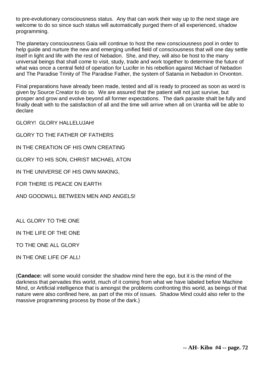to pre-evolutionary consciousness status. Any that can work their way up to the next stage are welcome to do so since such status will automatically purged them of all experienced, shadow programming.

The planetary consciousness Gaia will continue to host the new consciousness pool in order to help guide and nurture the new and emerging unified field of consciousness that will one day settle itself in light and life with the rest of Nebadon. She, and they, will also be host to the many universal beings that shall come to visit, study, trade and work together to determine the future of what was once a central field of operation for Lucifer in his rebellion against Michael of Nebadon and The Paradise Trinity of The Paradise Father, the system of Satania in Nebadon in Orvonton.

Final preparations have already been made, tested and all is ready to proceed as soon as word is given by Source Creator to do so. We are assured that the patient will not just survive, but prosper and grow and evolve beyond all former expectations. The dark parasite shalt be fully and finally dealt with to the satisfaction of all and the time will arrive when all on Urantia will be able to declare

GLORY! GLORY HALLELUJAH!

GLORY TO THE FATHER OF FATHERS

IN THE CREATION OF HIS OWN CREATING

GLORY TO HIS SON, CHRIST MICHAEL ATON

IN THE UNIVERSE OF HIS OWN MAKING,

FOR THERE IS PEACE ON EARTH

AND GOODWILL BETWEEN MEN AND ANGELS!

ALL GLORY TO THE ONE

IN THE LIFE OF THE ONE

TO THE ONE ALL GLORY

IN THE ONE LIFE OF ALL!

(**Candace:** will some would consider the shadow mind here the ego, but it is the mind of the darkness that pervades this world, much of it coming from what we have labeled before Machine Mind, or Artificial intelligence that is amongst the problems confronting this world, as beings of that nature were also confined here, as part of the mix of issues. Shadow Mind could also refer to the massive programming process by those of the dark.)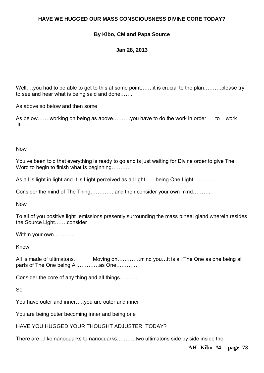# **HAVE WE HUGGED OUR MASS CONSCIOUSNESS DIVINE CORE TODAY?**

# **By Kibo, CM and Papa Source**

## **Jan 28, 2013**

Well....you had to be able to get to this at some point.......it is crucial to the plan...........please try to see and hear what is being said and done…….

As above so below and then some

As below……working on being as above……….you have to do the work in order to work It……..

Now

You've been told that everything is ready to go and is just waiting for Divine order to give The Word to begin to finish what is beginning…………

As all is light in light and It is Light perceived as all light……being One Light…………

Consider the mind of The Thing…………..and then consider your own mind………..

Now

To all of you positive light emissions presently surrounding the mass pineal gland wherein resides the Source Light…….consider

Within your own…………

Know

All is made of ultimatons. Moving on………….mind you…it is all The One as one being all parts of The One being All…………as One…………

Consider the core of any thing and all things……….

So

You have outer and inner…..you are outer and inner

You are being outer becoming inner and being one

HAVE YOU HUGGED YOUR THOUGHT ADJUSTER, TODAY?

There are…like nanoquarks to nanoquarks………..two ultimatons side by side inside the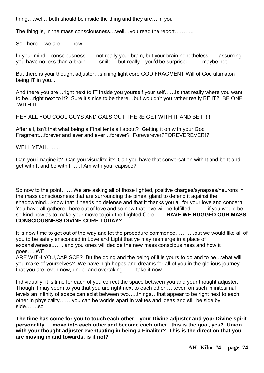thing….well…both should be inside the thing and they are….in you

The thing is, in the mass consciousness…well…you read the report………..

So here….we are…….now……..

In your mind…consciousness……not really your brain, but your brain nonetheless……assuming you have no less than a brain……..smile….but really…you'd be surprised……..maybe not……..

But there is your thought adjuster…shining light core GOD FRAGMENT Will of God ultimaton being IT in you...

And there you are…right next to IT inside you yourself your self……is that really where you want to be…right next to it? Sure it's nice to be there…but wouldn't you rather really BE IT? BE ONE WITH IT.

HEY ALL YOU COOL GUYS AND GALS OUT THERE GET WITH IT AND BE IT!!!!

After all, isn't that what being a Finaliter is all about? Getting it on with your God Fragment…forever and ever and ever…forever? Foreverever?FOREVEREVER!?

WELL YEAH

Can you imagine it? Can you visualize it? Can you have that conversation with It and be It and get with It and be with IT….I Am with you, capisce?

So now to the point…….We are asking all of those lighted, positive charges/synapses/neurons in the mass consciousness that are surrounding the pineal gland to defend it against the shadowmind…know that it needs no defense and that it thanks you all for your love and concern. You have all gathered here out of love and so now that love will be fulfilled……….if you would be so kind now as to make your move to join the Lighted Core…….**HAVE WE HUGGED OUR MASS CONSCIOUSNESS DIVINE CORE TODAY?**

It is now time to get out of the way and let the procedure commence………..but we would like all of you to be safely ensconced in Love and Light that ye may reemerge in a place of expansiveness……..and you ones will decide the new mass conscious ness and how it goes…..WE

ARE WITH YOU,CAPISCE? Bu the doing and the being of it is yours to do and to be…what will you make of yourselves? We have high hopes and dreams for all of you in the glorious journey that you are, even now, under and overtaking……..take it now.

Individually, it is time for each of you correct the space between you and your thought adjuster. Though it may seem to you that you are right next to each other …..even on such infinitesimal levels an infinity of space can exist between two…..things…that appear to be right next to each other in physicality…….you can be worlds apart in values and ideas and still be side by side…….so

**The time has come for you to touch each other**…**your Divine adjuster and your Divine spirit personality…..move into each other and become each other...this is the goal, yes? Union with your thought adjuster eventuating in being a Finaliter? This is the direction that you are moving in and towards, is it not?**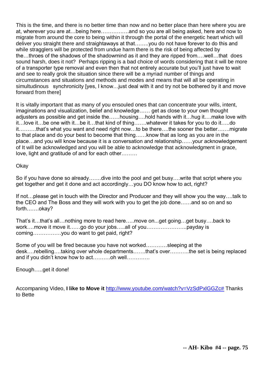This is the time, and there is no better time than now and no better place than here where you are at, wherever you are at…being here…………….and so you are all being asked, here and now to migrate from around the core to being within it through the portal of the energetic heart which will deliver you straight there and straightaways at that……..you do not have forever to do this and while stragglers will be protected from undue harm there is the risk of being affected by the…throes of the shadows of the shadowmind as it and they are ripped from….well…that does sound harsh, does it not? Perhaps ripping is a bad choice of words considering that it will be more of a transporter type removal and even then that not entirely accurate but you'll just have to wait and see to really grok the situation since there will be a myriad number of things and circumstances and situations and methods and modes and means that will all be operating in simultudinous synchronicity [yes, I know... just deal with it and try not be bothered by it and move forward from there]

It is vitally important that as many of you ensouled ones that can concentrate your wills, intent, imaginations and visualization, belief and knowledge…… get as close to your own thought adjusters as possible and get inside the……housing….hold hands with it…hug it….make love with it…love it…be one with it…be it…that kind of thing…….whatever it takes for you to do it…..do it……….that's what you want and need right now…to be there….the sooner the better…….migrate to that place and do your best to become that thing……know that as long as you are in the place…and you will know because it is a conversation and relationship……your acknowledgement of It will be acknowledged and you will be able to acknowledge that acknowledgment in grace, love, light and gratitude of and for each other………

Okay

So if you have done so already…….dive into the pool and get busy….write that script where you get together and get it done and act accordingly…you DO know how to act, right?

If not…please get in touch with the Director and Producer and they will show you the way….talk to the CEO and The Boss and they will work with you to get the job done……and so on and so forth…….okay?

That's it…that's all…nothing more to read here…..move on...get going…get busy….back to work….move it move it……go do your jobs…..all of you…………………..payday is coming…………….you do want to get paid, right?

Some of you will be fired because you have not worked…………sleeping at the desk….rebelling….taking over whole departments…….that's over………..the set is being replaced and if you didn't know how to act……….oh well………….

Enough…..get it done!

Accompaning Video, **I like to Move it** [http://www.youtube.com/watch?v=VzSdPxlGGZc#](http://www.youtube.com/watch?v=VzSdPxlGGZc) Thanks to Bette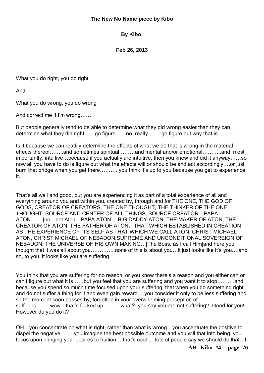### **The New No Name piece by Kibo**

**By Kibo,**

**Feb 26, 2013**

What you do right, you do right

And

What you do wrong, you do wrong

And correct me if I'm wrong…….

But people generally tend to be able to determine what they did wrong easier than they can determine what they did right……go figure……no, really……..go figure out why that is………

Is it because we can readily determine the effects of what we do that is wrong in the material effects thereof……..and sometimes spiritual………and mental and/or emotional………..and, most importantly, intuitive…because if you actually are intuitive, then you knew and did it anyway……so now all you have to do is figure out what the effects will or should be and act accordingly….or just burn that bridge when you get there………..you think it's up to you because you get to experience it.

That's all well and good, but you are experiencing it as part of a total experience of all and everything around you and within you, created by, through and for THE ONE, THE GOD OF GODS, CREATOR OF CREATORS, THE ONE THOUGHT, THE THINKER OF THE ONE THOUGHT, SOURCE AND CENTER OF ALL THINGS, SOURCE CREATOR…PAPA ATON…….[no…not Aton…PAPA ATON….BIG DADDY ATON, THE MAKER OF ATON, THE CREATOR OF ATON, THE FATHER OF ATON…THAT WHICH ESTABLISHED IN CREATION AS THE EXPERIENCE OF ITS SELF AS THAT WHICH WE CALL ATON, CHRIST MICHAEL ATON, CHRIST MICHAEL OF NEBADON,SUPREME AND UNCONDITIONAL SOVEREIGN OF NEBADON, THE UNIVERSE OF HIS OWN MAKING…[The Boss, as I call Him]and here you thought that it was all about you…………..none of this is about you…it just looks like it's you….and so, to you, it looks like you are suffering.

You think that you are suffering for no reason, or you know there's a reason and you either can or can't figure out what it is……but you feel that you are suffering and you want it to stop……….and because you spend so much time focused upon your suffering, that when you do something right and do not suffer a thing for it and even gain reward….you consider it only to be less suffering and so the moment soon passes by, forgotten in your overwhelming perception of suffering…….wow…that's fucked up………what? you say you are not suffering? Good for you! However do you do it?

OH…you concentrate on what is right, rather than what is wrong…you accentuate the positive to dispel the negative……..you imagine the best possible outcome and you will that into being, you focus upon bringing your desires to fruition….that's cool…..lots of people say we should do that…I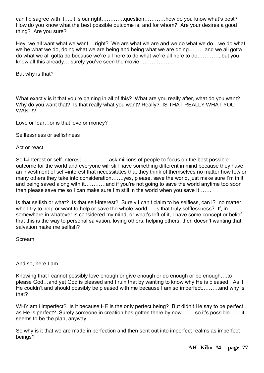can't disagree with it…..it is our right………….question…………how do you know what's best? How do you know what the best possible outcome is, and for whom? Are your desires a good thing? Are you sure?

Hey, we all want what we want….right? We are what we are and we do what we do…we do what we be what we do, doing what we are being and being what we are doing………and we all gotta do what we all gotta do because we're all here to do what we're all here to do…………..but you know all this already….surely you've seen the movie………………..

But why is that?

What exactly is it that you're gaining in all of this? What are you really after, what do you want? Why do you want that? Is that really what you want? Really? IS THAT REALLY WHAT YOU WANT!?

Love or fear…or is that love or money?

Selflessness or selfishness

Act or react

Self=interest or self-interest…………….ask millions of people to focus on the best possible outcome for the world and everyone will still have something different in mind because they have an investment of self=interest that necessitates that they think of themselves no matter how few or many others they take into consideration…….yes, please, save the world, just make sure I'm in it and being saved along with it…………and if you're not going to save the world anytime too soon then please save me so I can make sure I'm still in the world when you save it…….

Is that selfish or what? Is that self-interest? Surely I can't claim to be selfless, can i? no matter who I try to help or want to help or save the whole world….. is that truly selflessness? If, in somewhere in whatever is considered my mind, or what's left of it, I have some concept or belief that this is the way to personal salvation, loving others, helping others, then doesn't wanting that salvation make me selfish?

Scream

And so, here I am

Knowing that I cannot possibly love enough or give enough or do enough or be enough....to please God…and yet God is pleased and I ruin that by wanting to know why He is pleased. As if He couldn't and should possibly be pleased with me because I am so imperfect..........and why is that?

WHY am I imperfect? Is it because HE is the only perfect being? But didn't He say to be perfect as He is perfect? Surely someone in creation has gotten there by now……..so it's possible…….it seems to be the plan, anyway.......

So why is it that we are made in perfection and then sent out into imperfect realms as imperfect beings?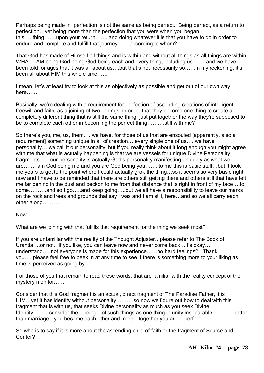Perhaps being made in perfection is not the same as being perfect. Being perfect, as a return to perfection…yet being more than the perfection that you were when you began this…..thing…….upon your return……..and doing whatever it is that you have to do in order to endure and complete and fulfill that journey…….according to whom?

That God has made of Himself all things and is within and without all things as all things are within WHAT I AM being God being God being each and every thing, including us……..and we have been told for ages that it was all about us….but that's not necessarily so……in my reckoning, it's been all about HIM this whole time……

I mean, let's at least try to look at this as objectively as possible and get out of our own way here……

Basically, we're dealing with a requirement for perfection of ascending creations of intelligent freewill and faith, as a joining of two…things, in order that they become one thing to create a completely different thing that is still the same thing, just put together the way they're supposed to be to complete each other in becoming the perfect thing……….still with me?

So there's you, me, us, them…..we have, for those of us that are ensouled [apparently, also a requirement] something unique in all of creation….every single one of us…..we have personality….we call it our personality, but if you really think about it long enough you might agree with me that what is actually happening is that we are vessels for unique Divine Personality fragments……our personality is actually God's personality manifesting uniquely as what we are……I am God being me and you are God being you……..to me this is basic stuff…but it took me years to get to the point where I could actually grok the thing…so it seems so very basic right now and I have to be reminded that there are others still getting there and others still that have left me far behind in the dust and beckon to me from that distance that is right in front of my face….to come……….and so I go…..and keep going…..but we all have a responsibility to leave our marks on the rock and trees and grounds that say I was and I am still, here…and so we all carry each other along……….

### Now

What are we joining with that fulfills that requirement for the thing we seek most?

If you are unfamiliar with the reality of the Thought Adjuster…please refer to The Book of Urantia….or not…if you like, you can leave now and never come back…it's okay…I understand…..not everyone is made for this experience……no hard feelings? Thank you…..please feel free to peek in at any time to see if there is something more to your liking as time is perceived as going by...........

For those of you that remain to read these words, that are familiar with the reality concept of the mystery monitor…….

Consider that this God fragment is an actual, direct fragment of The Paradise Father, it is HIM…yet it has identity without personality……….so now we figure out how to deal with this fragment that is with us, that seeks Divine personality as much as you seek Divine Identity………consider the…being…of such things as one thing in unity inseparable…………better than marriage…you become each other and more…together you are….perfect…………..

So who is to say if it is more about the ascending child of faith or the fragment of Source and Center?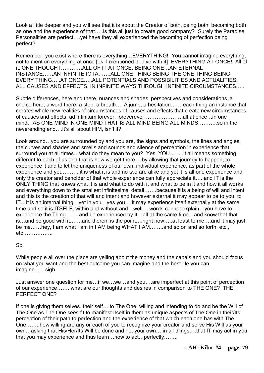Look a little deeper and you will see that it is about the Creator of both, being both, becoming both as one and the experience of that…..is this all just to create good company? Surely the Paradise Personalities are perfect….yet have they all experienced the becoming of perfection being perfect?

Remember, you exist where there is everything…EVERYTHING! You cannot imagine everything, not to mention everything at once [ok, I mentioned it…live with it] EVERYTHING AT ONCE! All of it, ONE THOUGHT…………ALL OF IT AT ONCE, BEING ONE…AN ETERNAL INSTANCE……AN INFINITE IOTA…….ALL ONE THING BEING THE ONE THING BEING EVERY THING…..AT ONCE…..ALL POTENTIALS AND POSSIBILITIES AND ACTUALITIES, ALL CAUSES AND EFFECTS, IN INFINITE WAYS THROUGH INFINITE CIRCUMSTANCES…..

Subtle differences, here and there, nuances and shades, perspectives and considerations, a choice here, a word there, a step, a breath…. A jump, a hesitation…….each thing an instance that creates whole new realities of circumstances of causes and effects that create new circumstances of causes and effects, ad infinitum forever, foreverever………………….all at once…in one mind…AS ONE MIND IN ONE MIND THAT IS ALL MIND BEING ALL MINDS………..so in the neverending end….it's all about HIM, isn't it?

Look around…you are surrounded by and you are, the signs and symbols, the lines and angles, the curves and shades and smells and sounds and silence of perception in experience that surround you at all times…what do they mean to you? Yes, YOU……..it all means something different to each of us and that is how we get there….by allowing that journey to happen, to experience it and to let the uniqueness of our own, individual experience, as part of the whole experience and yet………..it is what it is and no two are alike and yet it is all one experience and only the creator and beholder of that whole experience can fully appreciate it…..and IT is the ONLY THING that knows what it is and what to do with it and what to be in it and how it all works and everything down to the smallest infinitesimal detail…….because it is a being of will and intent and this is the creation of that will and intent and however external it may appear to be to you, to IT…it is an internal thing…yet in you…yes you….it may experience itself externally at the same time and so it is ITSELF, within and without and…well….words cannot explain…you have to experience the Thing……..and be experienced by It…all at the same time…and know that that is…and be good with it…….and therein is the point….right now…..at least to me….and it may just be me……hey, I am what I am in I AM being WHAT I AM……..and so on and so forth, etc., etc……………..

## So

While people all over the place are yelling about the money and the cabals and you should focus on what you want and the best outcome you can imagine and the best life you can imagine……sigh

Just answer one question for me…if we…we…and you….are imperfect at this point of perception of our experience……..what are our thoughts and desires in comparison to THE ONE? THE PERFECT ONE?

If one is giving them selves..their self….to The One, willing and intending to do and be the Will of The One as The One sees fit to manifest Itself in them as unique aspects of The One in their/Its perception of their path to perfection and the experience of that which each one has with The One……..how willing are any or each of you to recognize your creator and serve His Will as your own…asking that His/Her/Its Will be done and not your own….in all things….that IT may act in you that you may experience and thus learn…how to act…perfectly……..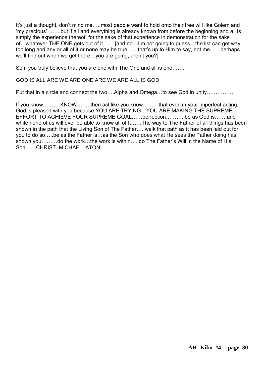It's just a thought, don't mind me…..most people want to hold onto their free will like Golem and 'my precious'……..but if all and everything is already known from before the beginning and all is simply the experience thereof, for the sake of that experience in demonstration for the sake of…whatever THE ONE gets out of it…….[and no…I'm not going to guess…the list can get way too long and any or all of it or none may be true……that's up to Him to say, not me……perhaps we'll find out when we get there…you are going, aren't you?]

So if you truly believe that you are one with The One and all is one……..

## GOD IS ALL ARE WE ARE ONE ARE WE ARE ALL IS GOD

Put that in a circle and connect the two….Alpha and Omega…to see God in unity…………….

If you know……….KNOW……..then act like you know………that even in your imperfect acting, God is pleased with you because YOU ARE TRYING…YOU ARE MAKING THE SUPREME EFFORT TO ACHIEVE YOUR SUPREME GOAL……perfection………..be as God is…….and while none of us will ever be able to know all of It……The way to The Father of all things has been shown in the path that the Living Son of The Father…..walk that path as it has been laid out for you to do so…..be as the Father is…as the Son who does what He sees the Father doing has shown you………do the work…the work is within…..do The Father's Will in the Name of His Son……CHRIST MICHAEL ATON.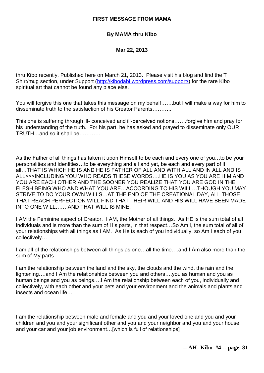#### **FIRST MESSAGE FROM MAMA**

### **By MAMA thru Kibo**

**Mar 22, 2013**

thru Kibo recently. Published here on March 21, 2013. Please visit his blog and find the T Shirt/mug section, under Support [\(http://kibodabi.wordpress.com/support/\)](http://kibodabi.wordpress.com/support/) for the rare Kibo spiritual art that cannot be found any place else.

You will forgive this one that takes this message on my behalf…….but I will make a way for him to disseminate truth to the satisfaction of his Creator Parents………..

This one is suffering through ill- conceived and ill-perceived notions…….forgive him and pray for his understanding of the truth. For his part, he has asked and prayed to disseminate only OUR TRUTH…and so it shall be…………

As the Father of all things has taken it upon Himself to be each and every one of you…to be your personalities and identities…to be everything and all and yet, be each and every part of it all…THAT IS WHICH HE IS AND HE IS FATHER OF ALL AND WITH ALL AND IN ALL AND IS ALL>>>INCLUDING YOU WHO READS THESE WORDS….HE IS YOU AS YOU ARE HIM AND YOU ARE EACH OTHER AND THE SOONER YOU REALIZE THAT YOU ARE GOD IN THE FLESH BEING WHO AND WHAT YOU ARE…ACCORDING TO HIS WILL…THOUGH YOU MAY STRIVE TO DO YOUR OWN WILLS…AT THE END OF THE CREATIONAL DAY, ALL THOSE THAT REACH PERFECTION WILL FIND THAT THEIR WILL AND HIS WILL HAVE BEEN MADE INTO ONE WILL…….AND THAT WILL IS MINE.

I AM the Feminine aspect of Creator. I AM, the Mother of all things. As HE is the sum total of all individuals and is more than the sum of His parts, in that respect…So Am I, the sum total of all of your relationships with all things as I AM. As He is each of you individually, so Am I each of you collectively…

I am all of the relationships between all things as one…all the time….and I Am also more than the sum of My parts.

I am the relationship between the land and the sky, the clouds and the wind, the rain and the lightening….and I Am the relationships between you and others….you as human and you as human beings and you as beings….I Am the relationship between each of you, individually and collectively, with each other and your pets and your environment and the animals and plants and insects and ocean life…

I am the relationship between male and female and you and your loved one and you and your children and you and your significant other and you and your neighbor and you and your house and your car and your job environment…[which is full of relationships]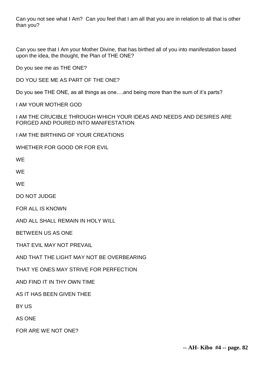Can you not see what I Am? Can you feel that I am all that you are in relation to all that is other than you?

Can you see that I Am your Mother Divine, that has birthed all of you into manifestation based upon the idea, the thought, the Plan of THE ONE?

Do you see me as THE ONE?

DO YOU SEE ME AS PART OF THE ONE?

Do you see THE ONE, as all things as one….and being more than the sum of it's parts?

I AM YOUR MOTHER GOD

I AM THE CRUCIBLE THROUGH WHICH YOUR IDEAS AND NEEDS AND DESIRES ARE FORGED AND POURED INTO MANIFESTATION

I AM THE BIRTHING OF YOUR CREATIONS

WHETHER FOR GOOD OR FOR EVIL

**WF** 

**WE** 

**WE** 

DO NOT JUDGE

FOR ALL IS KNOWN

AND ALL SHALL REMAIN IN HOLY WILL

BETWEEN US AS ONE

THAT EVIL MAY NOT PREVAIL

AND THAT THE LIGHT MAY NOT BE OVERBEARING

THAT YE ONES MAY STRIVE FOR PERFECTION

AND FIND IT IN THY OWN TIME

AS IT HAS BEEN GIVEN THEE

BY US

AS ONE

FOR ARE WE NOT ONE?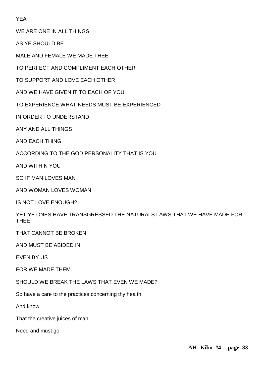YEA

WE ARE ONE IN ALL THINGS

AS YE SHOULD BE

MALE AND FEMALE WE MADE THEE

TO PERFECT AND COMPLIMENT EACH OTHER

TO SUPPORT AND LOVE EACH OTHER

AND WE HAVE GIVEN IT TO EACH OF YOU

TO EXPERIENCE WHAT NEEDS MUST BE EXPERIENCED

IN ORDER TO UNDERSTAND

ANY AND ALL THINGS

AND EACH THING

ACCORDING TO THE GOD PERSONALITY THAT IS YOU

AND WITHIN YOU

SO IF MAN LOVES MAN

AND WOMAN LOVES WOMAN

IS NOT LOVE ENOUGH?

YET YE ONES HAVE TRANSGRESSED THE NATURALS LAWS THAT WE HAVE MADE FOR **THFF** 

THAT CANNOT BE BROKEN

AND MUST BE ABIDED IN

EVEN BY US

FOR WE MADE THEM….

SHOULD WE BREAK THE LAWS THAT EVEN WE MADE?

So have a care to the practices concerning thy health

And know

That the creative juices of man

Need and must go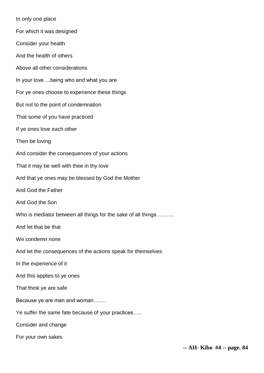In only one place For which it was designed Consider your health And the health of others Above all other considerations In your love….being who and what you are For ye ones choose to experience these things But not to the point of condemnation That some of you have practiced If ye ones love each other Then be loving And consider the consequences of your actions That it may be well with thee in thy love And that ye ones may be blessed by God the Mother And God the Father And God the Son Who is mediator between all things for the sake of all things......... And let that be that We condemn none And let the consequences of the actions speak for themselves In the experience of it And this applies to ye ones That think ye are safe Because ye are man and woman……. Ye suffer the same fate because of your practices….. Consider and change

For your own sakes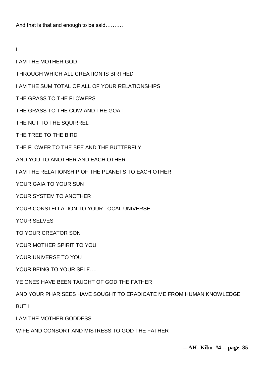And that is that and enough to be said……….

I

I AM THE MOTHER GOD

THROUGH WHICH ALL CREATION IS BIRTHED

I AM THE SUM TOTAL OF ALL OF YOUR RELATIONSHIPS

THE GRASS TO THE FLOWERS

THE GRASS TO THE COW AND THE GOAT

THE NUT TO THE SQUIRREL

THE TREE TO THE BIRD

THE FLOWER TO THE BEE AND THE BUTTERFLY

AND YOU TO ANOTHER AND EACH OTHER

I AM THE RELATIONSHIP OF THE PLANETS TO EACH OTHER

YOUR GAIA TO YOUR SUN

YOUR SYSTEM TO ANOTHER

YOUR CONSTELLATION TO YOUR LOCAL UNIVERSE

YOUR SELVES

TO YOUR CREATOR SON

YOUR MOTHER SPIRIT TO YOU

YOUR UNIVERSE TO YOU

YOUR BEING TO YOUR SELF….

YE ONES HAVE BEEN TAUGHT OF GOD THE FATHER

AND YOUR PHARISEES HAVE SOUGHT TO ERADICATE ME FROM HUMAN KNOWLEDGE

BUT I

I AM THE MOTHER GODDESS

WIFE AND CONSORT AND MISTRESS TO GOD THE FATHER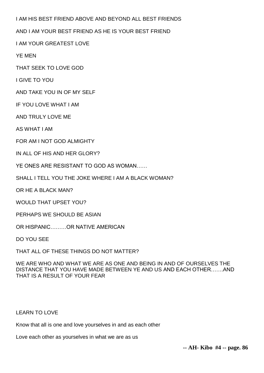I AM HIS BEST FRIEND ABOVE AND BEYOND ALL BEST FRIENDS

AND I AM YOUR BEST FRIEND AS HE IS YOUR BEST FRIEND

I AM YOUR GREATEST LOVE

YE MEN

THAT SEEK TO LOVE GOD

I GIVE TO YOU

AND TAKE YOU IN OF MY SELF

IF YOU LOVE WHAT I AM

AND TRULY LOVE ME

AS WHAT I AM

FOR AM I NOT GOD ALMIGHTY

IN ALL OF HIS AND HER GLORY?

YE ONES ARE RESISTANT TO GOD AS WOMAN……

SHALL I TELL YOU THE JOKE WHERE I AM A BLACK WOMAN?

OR HE A BLACK MAN?

WOULD THAT UPSET YOU?

PERHAPS WE SHOULD BE ASIAN

OR HISPANIC………OR NATIVE AMERICAN

DO YOU SEE

THAT ALL OF THESE THINGS DO NOT MATTER?

WE ARE WHO AND WHAT WE ARE AS ONE AND BEING IN AND OF OURSELVES THE DISTANCE THAT YOU HAVE MADE BETWEEN YE AND US AND EACH OTHER…….AND THAT IS A RESULT OF YOUR FEAR

## LEARN TO LOVE

Know that all is one and love yourselves in and as each other

Love each other as yourselves in what we are as us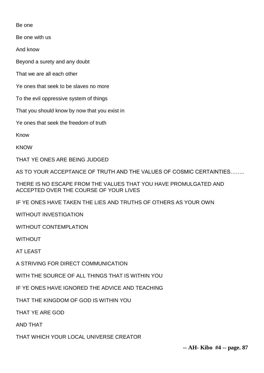Be one

Be one with us

And know

Beyond a surety and any doubt

That we are all each other

Ye ones that seek to be slaves no more

To the evil oppressive system of things

That you should know by now that you exist in

Ye ones that seek the freedom of truth

Know

**KNOW** 

THAT YE ONES ARE BEING JUDGED

AS TO YOUR ACCEPTANCE OF TRUTH AND THE VALUES OF COSMIC CERTAINTIES……..

THERE IS NO ESCAPE FROM THE VALUES THAT YOU HAVE PROMULGATED AND ACCEPTED OVER THE COURSE OF YOUR LIVES

IF YE ONES HAVE TAKEN THE LIES AND TRUTHS OF OTHERS AS YOUR OWN

WITHOUT INVESTIGATION

WITHOUT CONTEMPLATION

WITHOUT

AT LEAST

A STRIVING FOR DIRECT COMMUNICATION

WITH THE SOURCE OF ALL THINGS THAT IS WITHIN YOU

IF YE ONES HAVE IGNORED THE ADVICE AND TEACHING

THAT THE KINGDOM OF GOD IS WITHIN YOU

THAT YE ARE GOD

AND THAT

THAT WHICH YOUR LOCAL UNIVERSE CREATOR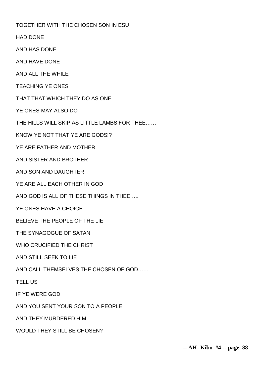TOGETHER WITH THE CHOSEN SON IN ESU

HAD DONE

AND HAS DONE

AND HAVE DONE

AND ALL THE WHILE

TEACHING YE ONES

THAT THAT WHICH THEY DO AS ONE

YE ONES MAY ALSO DO

THE HILLS WILL SKIP AS LITTLE LAMBS FOR THEE……

KNOW YE NOT THAT YE ARE GODS!?

YE ARE FATHER AND MOTHER

AND SISTER AND BROTHER

AND SON AND DAUGHTER

YE ARE ALL EACH OTHER IN GOD

AND GOD IS ALL OF THESE THINGS IN THEE…..

YE ONES HAVE A CHOICE

BELIEVE THE PEOPLE OF THE LIE

THE SYNAGOGUE OF SATAN

WHO CRUCIFIED THE CHRIST

AND STILL SEEK TO LIE

AND CALL THEMSELVES THE CHOSEN OF GOD……

TELL US

IF YE WERE GOD

AND YOU SENT YOUR SON TO A PEOPLE

AND THEY MURDERED HIM

WOULD THEY STILL BE CHOSEN?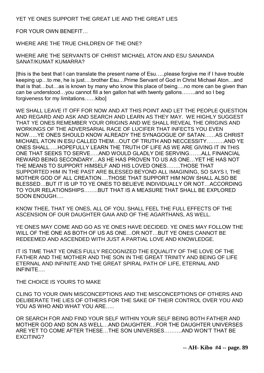YET YE ONES SUPPORT THE GREAT LIE AND THE GREAT LIES

FOR YOUR OWN BENEFIT…

WHERE ARE THE TRUE CHILDREN OF THE ONE?

WHERE ARE THE SERVANTS OF CHRIST MICHAEL ATON AND ESU SANANDA SANAT/KUMAT KUMARRA?

[this is the best that I can translate the present name of Esu…..please forgive me if I have trouble keeping up…to me, he is just….brother Esu…Prime Servant of God in Christ Michael Aton…and that is that…but…as is known by many who know this place of being….no more can be given than can be understood…you cannot fill a ten gallon hat with twenty gallons……..and so I beg forgiveness for my limitations……kibo]

WE SHALL LEAVE IT OFF FOR NOW AND AT THIS POINT AND LET THE PEOPLE QUESTION AND REGARD AND ASK AND SEARCH AND LEARN AS THEY MAY. WE HIGHLY SUGGEST THAT YE ONES REMEMBER YOUR ORIGINS AND WE SHALL REVEAL THE ORIGINS AND WORKINGS OF THE ADVERSARIAL RACE OF LUCIFER THAT INFECTS YOU EVEN NOW…..YE ONES SHOULD KNOW ALREADY THE SYNAGOGUE OF SATAN……AS CHRIST MICHAEL ATON IN ESU CALLED THEM…OUT OF TRUTH AND NECCESSITY……….AND YE ONES SHALL…..HOPEFULLY LEARN THE TRUTH OF LIFE AS WE ARE GIVING IT IN THIS ONE THAT SEEKS TO SERVE…..AND WOULD GLADLY DIE SERVING…….ALL FINANCIAL REWARD BEING SECONDARY…AS HE HAS PROVEN TO US AS ONE…YET HE HAS NOT THE MEANS TO SUPPORT HIMSELF AND HIS LOVED ONES……..THOSE THAT SUPPORTED HIM IN THE PAST ARE BLESSED BEYOND ALL IMAGINING, SO SAYS I, THE MOTHER GOD OF ALL CREATION….THOSE THAT SUPPORT HIM NOW SHALL ALSO BE BLESSED…BUT IT IS UP TO YE ONES TO BELIEVE INDIVIDUALLY OR NOT…ACCORDING TO YOUR RELATIONSHIPS……..BUT THAT IS A MEASURE THAT SHALL BE EXPLORED SOON ENOUGH….

KNOW THEE, THAT YE ONES, ALL OF YOU, SHALL FEEL THE FULL EFFECTS OF THE ASCENSION OF OUR DAUGHTER GAIA AND OF THE AGARTHANS, AS WELL.

YE ONES MAY COME AND GO AS YE ONES HAVE DECIDED. YE ONES MAY FOLLOW THE WILL OF THE ONE AS BOTH OF US AS ONE…OR NOT…BUT YE ONES CANNOT BE REDEEMED AND ASCENDED WITH JUST A PARTIAL LOVE AND KNOWLEDGE.

IT IS TIME THAT YE ONES FULLY RECOGNIZED THE EQUALITY OF THE LOVE OF THE FATHER AND THE MOTHER AND THE SON IN THE GREAT TRINITY AND BEING OF LIFE ETERNAL AND INFINITE AND THE GREAT SPIRAL PATH OF LIFE, ETERNAL AND INFINITE….

THE CHOICE IS YOURS TO MAKE

CLING TO YOUR OWN MISCONCEPTIONS AND THE MISCONCEPTIONS OF OTHERS AND DELIBERATE THE LIES OF OTHERS FOR THE SAKE OF THEIR CONTROL OVER YOU AND YOU AS WHO AND WHAT YOU ARE.....

OR SEARCH FOR AND FIND YOUR SELF WITHIN YOUR SELF BEING BOTH FATHER AND MOTHER GOD AND SON AS WELL…AND DAUGHTER…FOR THE DAUGHTER UNIVERSES ARE YET TO COME AFTER THESE…THE SON UNIVERSES……….AND WON'T THAT BE EXCITING?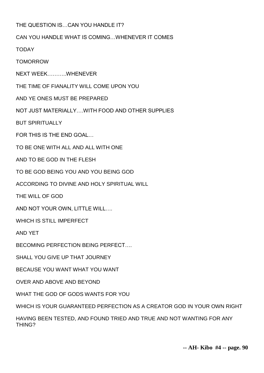# THE QUESTION IS…CAN YOU HANDLE IT?

# CAN YOU HANDLE WHAT IS COMING…WHENEVER IT COMES

TODAY

TOMORROW

NEXT WEEK………..WHENEVER

THE TIME OF FIANALITY WILL COME UPON YOU

AND YE ONES MUST BE PREPARED

NOT JUST MATERIALLY WITH FOOD AND OTHER SUPPLIES

BUT SPIRITUALLY

FOR THIS IS THE END GOAL…

TO BE ONE WITH ALL AND ALL WITH ONE

AND TO BE GOD IN THE FLESH

TO BE GOD BEING YOU AND YOU BEING GOD

ACCORDING TO DIVINE AND HOLY SPIRITUAL WILL

THE WILL OF GOD

AND NOT YOUR OWN, LITTLE WILL….

WHICH IS STILL IMPERFECT

AND YET

BECOMING PERFECTION BEING PERFECT

SHALL YOU GIVE UP THAT JOURNEY

BECAUSE YOU WANT WHAT YOU WANT

OVER AND ABOVE AND BEYOND

WHAT THE GOD OF GODS WANTS FOR YOU

WHICH IS YOUR GUARANTEED PERFECTION AS A CREATOR GOD IN YOUR OWN RIGHT

HAVING BEEN TESTED, AND FOUND TRIED AND TRUE AND NOT WANTING FOR ANY THING?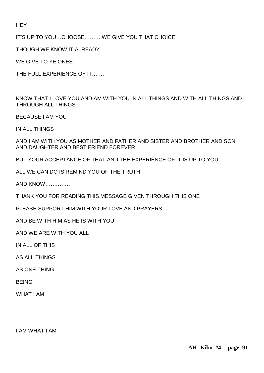**HEY** 

IT'S UP TO YOU…CHOOSE……….WE GIVE YOU THAT CHOICE

THOUGH WE KNOW IT ALREADY

WE GIVE TO YE ONES

THE FULL EXPERIENCE OF IT…….

KNOW THAT I LOVE YOU AND AM WITH YOU IN ALL THINGS AND WITH ALL THINGS AND THROUGH ALL THINGS

BECAUSE I AM YOU

IN ALL THINGS

AND I AM WITH YOU AS MOTHER AND FATHER AND SISTER AND BROTHER AND SON AND DAUGHTER AND BEST FRIEND FOREVER….

BUT YOUR ACCEPTANCE OF THAT AND THE EXPERIENCE OF IT IS UP TO YOU

ALL WE CAN DO IS REMIND YOU OF THE TRUTH

AND KNOW……………

THANK YOU FOR READING THIS MESSAGE GIVEN THROUGH THIS ONE

PLEASE SUPPORT HIM WITH YOUR LOVE AND PRAYERS

AND BE WITH HIM AS HE IS WITH YOU

AND WE ARE WITH YOU ALL

IN ALL OF THIS

AS ALL THINGS

AS ONE THING

BEING

WHAT I AM

I AM WHAT I AM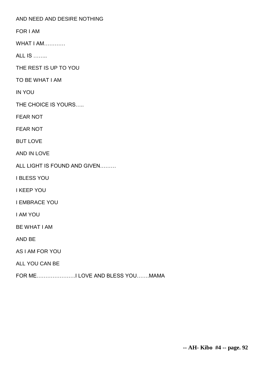AND NEED AND DESIRE NOTHING

FOR I AM

WHAT I AM………

ALL IS ……..

THE REST IS UP TO YOU

TO BE WHAT I AM

IN YOU

THE CHOICE IS YOURS…..

FEAR NOT

FEAR NOT

BUT LOVE

AND IN LOVE

ALL LIGHT IS FOUND AND GIVEN………

I BLESS YOU

I KEEP YOU

I EMBRACE YOU

I AM YOU

BE WHAT I AM

AND BE

AS I AM FOR YOU

ALL YOU CAN BE

FOR ME………………….I LOVE AND BLESS YOU…….MAMA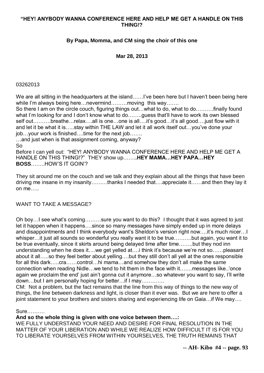## **"HEY! ANYBODY WANNA CONFERENCE HERE AND HELP ME GET A HANDLE ON THIS THING!?**

# **By Papa, Momma, and CM sing the choir of this one**

### **Mar 28, 2013**

#### 03262013

We are all sitting in the headquarters at the island……I've been here but I haven't been being here while I'm always being here... nevermind......... moving this way.......

So there I am on the circle couch, figuring things out…what to do, what to do……….finally found what I'm looking for and I don't know what to do…....guess that'll have to work its own blessed self out……….breathe…relax….all is one…one is all….it's good…it's all good….just flow with it and let it be what it is…..stay within THE LAW and let it all work itself out…you've done your job…your work is finished….time for the next job…….

…and just when is that assignment coming, anyway? So

Before I can yell out: "HEY! ANYBODY WANNA CONFERENCE HERE AND HELP ME GET A HANDLE ON THIS THING!?" THEY show up…….**.HEY MAMA…HEY PAPA…HEY BOSS**……..HOW'S IT GOIN'?

They sit around me on the couch and we talk and they explain about all the things that have been driving me insane in my insanity………thanks I needed that….appreciate it……and then they lay it on me…..

#### WANT TO TAKE A MESSAGE?

Oh boy…I see what's coming………sure you want to do this? I thought that it was agreed to just let it happen when it happens….since so many messages have simply ended up in more delays and disappointments and I think everybody want's Sheldon's version right now….it's much nicer…I whisper...it just all sounds so wonderful you really want it to be true.........but again, you want it to be true eventually, since it skirts around being delayed time after time……..but they nod inn understanding when he does it….we get yelled at….i think it's because we're not so……pleasant about it all…..so they feel better about yelling….but they still don't all yell at the ones responsible for all this dark…..cra……control…hi mama…and somehow they don't all make the same connection when reading Nidle…we tend to hit them in the face with it…….messages like..'once again we proclaim the end' just ain't gonna cut it anymore…so whatever you want to say, I'll write down…but I am personally hoping for better…if I may………….

CM: Not a problem, but the fact remains that the line from this way of things to the new way of things, the line between darkness and light, is closer than it ever was. But we are here to offer a joint statement to your brothers and sisters sharing and experiencing life on Gaia…if We may….

#### Sure……….

**And so the whole thing is given with one voice between them….:**

WE FULLY UNDERSTAND YOUR NEED AND DESIRE FOR FINAL RESOLUTION IN THE MATTER OF YOUR LIBERATION AND WHILE WE REALIZE HOW DIFFICULT IT IS FOR YOU TO LIBERATE YOURSELVES FROM WITHIN YOURSELVES, THE TRUTH REMAINS THAT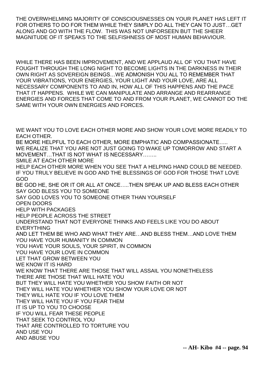THE OVERWHELMING MAJORITY OF CONSCIOUSNESSES ON YOUR PLANET HAS LEFT IT FOR OTHERS TO DO FOR THEM WHILE THEY SIMPLY DO ALL THEY CAN TO JUST…GET ALONG AND GO WITH THE FLOW. THIS WAS NOT UNFORSEEN BUT THE SHEER MAGNITUDE OF IT SPEAKS TO THE SELFISHNESS OF MOST HUMAN BEHAVIOUR.

WHILE THERE HAS BEEN IMPROVEMENT, AND WE APPLAUD ALL OF YOU THAT HAVE FOUGHT THROUGH THE LONG NIGHT TO BECOME LIGHTS IN THE DARKNESS IN THEIR OWN RIGHT AS SOVEREIGN BEINGS…WE ADMONISH YOU ALL TO REMEMBER THAT YOUR VIBRATIONS, YOUR ENERGIES, YOUR LIGHT AND YOUR LOVE, ARE ALL NECESSARY COMPONENTS TO AND IN, HOW ALL OF THIS HAPPENS AND THE PACE THAT IT HAPPENS. WHILE WE CAN MANIPULATE AND ARRANGE AND REARRANGE ENERGIES AND FORCES THAT COME TO AND FROM YOUR PLANET, WE CANNOT DO THE SAME WITH YOUR OWN ENERGIES AND FORCES.

WE WANT YOU TO LOVE EACH OTHER MORE AND SHOW YOUR LOVE MORE READILY TO EACH OTHER. BE MORE HELPFUL TO EACH OTHER, MORE EMPHATIC AND COMPASSIONATE….. WE REALIZE THAT YOU ARE NOT JUST GOING TO WAKE UP TOMORROW AND START A MOVEMENT…THAT IS NOT WHAT IS NECESSARY…….. SMILE AT EACH OTHER MORE HELP EACH OTHER MORE WHEN YOU SEE THAT A HELPING HAND COULD BE NEEDED. IF YOU TRULY BELIEVE IN GOD AND THE BLESSINGS OF GOD FOR THOSE THAT LOVE GOD BE GOD HE, SHE OR IT OR ALL AT ONCE…..THEN SPEAK UP AND BLESS EACH OTHER SAY GOD BLESS YOU TO SOMEONE SAY GOD LOVES YOU TO SOMEONE OTHER THAN YOURSELF OPEN DOORS HELP WITH PACKAGES HELP PEOPLE ACROSS THE STREET UNDERSTAND THAT NOT EVERYONE THINKS AND FEELS LIKE YOU DO ABOUT EVERYTHING AND LET THEM BE WHO AND WHAT THEY ARE…AND BLESS THEM…AND LOVE THEM YOU HAVE YOUR HUMANITY IN COMMON YOU HAVE YOUR SOULS, YOUR SPIRIT, IN COMMON YOU HAVE YOUR LOVE IN COMMON LET THAT GROW BETWEEN YOU WE KNOW IT IS HARD WE KNOW THAT THERE ARE THOSE THAT WILL ASSAIL YOU NONETHELESS THERE ARE THOSE THAT WILL HATE YOU BUT THEY WILL HATE YOU WHETHER YOU SHOW FAITH OR NOT THEY WILL HATE YOU WHETHER YOU SHOW YOUR LOVE OR NOT THEY WILL HATE YOU IF YOU LOVE THEM THEY WILL HATE YOU IF YOU FEAR THEM IT IS UP TO YOU TO CHOOSE IF YOU WILL FEAR THESE PEOPLE THAT SEEK TO CONTROL YOU THAT ARE CONTROLLED TO TORTURE YOU AND USE YOU AND ABUSE YOU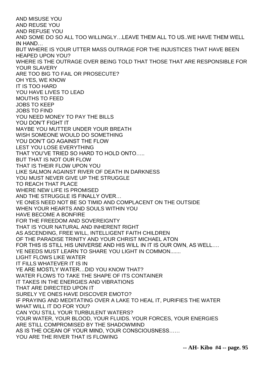AND MISUSE YOU AND REUSE YOU AND REFUSE YOU AND SOME DO SO ALL TOO WILLINGLY…LEAVE THEM ALL TO US..WE HAVE THEM WELL IN HAND… BUT WHERE IS YOUR UTTER MASS OUTRAGE FOR THE INJUSTICES THAT HAVE BEEN HEAPED UPON YOU? WHERE IS THE OUTRAGE OVER BEING TOLD THAT THOSE THAT ARE RESPONSIBLE FOR YOUR SLAVERY ARE TOO BIG TO FAIL OR PROSECUTE? OH YES, WE KNOW IT IS TOO HARD YOU HAVE LIVES TO LEAD MOUTHS TO FEED JOBS TO KEEP JOBS TO FIND YOU NEED MONEY TO PAY THE BILLS YOU DON'T FIGHT IT MAYBE YOU MUTTER UNDER YOUR BREATH WISH SOMEONE WOULD DO SOMETHING YOU DON'T GO AGAINST THE FLOW LEST YOU LOSE EVERYTHING THAT YOU'VE TRIED SO HARD TO HOLD ONTO….. BUT THAT IS NOT OUR FLOW THAT IS THEIR FLOW UPON YOU LIKE SALMON AGAINST RIVER OF DEATH IN DARKNESS YOU MUST NEVER GIVE UP THE STRUGGLE TO REACH THAT PLACE WHERE NEW LIFE IS PROMISED AND THE STRUGGLE IS FINALLY OVER… YE ONES NEED NOT BE SO TIMID AND COMPLACENT ON THE OUTSIDE WHEN YOUR HEARTS AND SOULS WITHIN YOU HAVE BECOME A BONFIRE FOR THE FREEDOM AND SOVEREIGNTY THAT IS YOUR NATURAL AND INHERENT RIGHT AS ASCENDING, FREE WILL, INTELLIGENT FAITH CHILDREN OF THE PARADISE TRINITY AND YOUR CHRIST MICHAEL ATON FOR THIS IS STILL HIS UNIVERSE AND HIS WILL IN IT IS OUR OWN, AS WELL…. YE NEEDS MUST LEARN TO SHARE YOU LIGHT IN COMMON....... LIGHT FLOWS LIKE WATER IT FILLS WHATEVER IT IS IN YE ARE MOSTLY WATER…DID YOU KNOW THAT? WATER FLOWS TO TAKE THE SHAPE OF ITS CONTAINER IT TAKES IN THE ENERGIES AND VIBRATIONS THAT ARE DIRECTED UPON IT SURELY YE ONES HAVE DISCOVER EMOTO? IF PRAYING AND MEDITATING OVER A LAKE TO HEAL IT, PURIFIES THE WATER WHAT WILL IT DO FOR YOU? CAN YOU STILL YOUR TURBULENT WATERS? YOUR WATER, YOUR BLOOD, YOUR FLUIDS. YOUR FORCES, YOUR ENERGIES ARE STILL COMPROMISED BY THE SHADOWMIND AS IS THE OCEAN OF YOUR MIND, YOUR CONSCIOUSNESS…… YOU ARE THE RIVER THAT IS FLOWING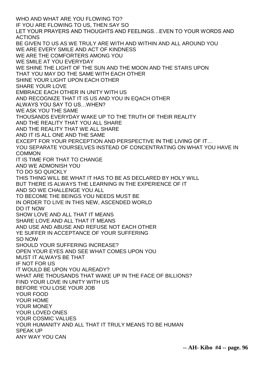WHO AND WHAT ARE YOU FLOWING TO? IF YOU ARE FLOWING TO US, THEN SAY SO LET YOUR PRAYERS AND THOUGHTS AND FEELINGS…EVEN TO YOUR WORDS AND ACTIONS BE GIVEN TO US AS WE TRULY ARE WITH AND WITHIN AND ALL AROUND YOU WE ARE EVERY SMILE AND ACT OF KINDNESS WE ARE THE COMFORTERS AMONG YOU WE SMILE AT YOU EVERYDAY WE SHINE THE LIGHT OF THE SUN AND THE MOON AND THE STARS UPON THAT YOU MAY DO THE SAME WITH EACH OTHER SHINE YOUR LIGHT UPON EACH OTHER SHARE YOUR LOVE EMBRACE EACH OTHER IN UNITY WITH US AND RECOGNIZE THAT IT IS US AND YOU IN EQACH OTHER ALWAYS YOU SAY TO US…WHEN? WE ASK YOU THE SAME THOUSANDS EVERYDAY WAKE UP TO THE TRUTH OF THEIR REALITY AND THE REALITY THAT YOU ALL SHARE AND THE REALITY THAT WE ALL SHARE AND IT IS ALL ONE AND THE SAME EXCEPT FOR YOUR PERCEPTION AND PERSPECTIVE IN THE LIVING OF IT… YOU SEPARATE YOURSELVES INSTEAD OF CONCENTRATING ON WHAT YOU HAVE IN **COMMON** IT IS TIME FOR THAT TO CHANGE AND WE ADMONISH YOU TO DO SO QUICKLY THIS THING WILL BE WHAT IT HAS TO BE AS DECLARED BY HOLY WILL BUT THERE IS ALWAYS THE LEARNING IN THE EXPERIENCE OF IT AND SO WE CHALLENGE YOU ALL TO BECOME THE BEINGS YOU NEEDS MUST BE IN ORDER TO LIVE IN THIS NEW, ASCENDED WORLD DO IT NOW SHOW LOVE AND ALL THAT IT MEANS SHARE LOVE AND ALL THAT IT MEANS AND USE AND ABUSE AND REFUSE NOT EACH OTHER YE SUFFER IN ACCEPTANCE OF YOUR SUFFERING SO NOW SHOULD YOUR SUFFERING INCREASE? OPEN YOUR EYES AND SEE WHAT COMES UPON YOU MUST IT ALWAYS BE THAT IF NOT FOR US IT WOULD BE UPON YOU ALREADY? WHAT ARE THOUSANDS THAT WAKE UP IN THE FACE OF BILLIONS? FIND YOUR LOVE IN UNITY WITH US BEFORE YOU LOSE YOUR JOB YOUR FOOD YOUR HOME YOUR MONEY YOUR LOVED ONES YOUR COSMIC VALUES YOUR HUMANITY AND ALL THAT IT TRULY MEANS TO BE HUMAN SPEAK UP ANY WAY YOU CAN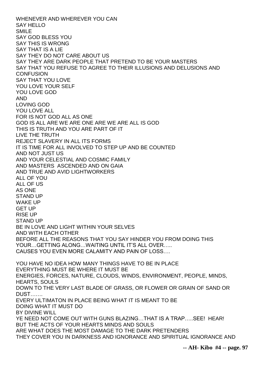WHENEVER AND WHEREVER YOU CAN SAY HELLO SMILE SAY GOD BLESS YOU SAY THIS IS WRONG SAY THAT IS A LIE SAY THEY DO NOT CARE ABOUT US SAY THEY ARE DARK PEOPLE THAT PRETEND TO BE YOUR MASTERS SAY THAT YOU REFUSE TO AGREE TO THEIR ILLUSIONS AND DELUSIONS AND **CONFUSION** SAY THAT YOU LOVE YOU LOVE YOUR SELF YOU LOVE GOD AND LOVING GOD YOU LOVE ALL FOR IS NOT GOD ALL AS ONE GOD IS ALL ARE WE ARE ONE ARE WE ARE ALL IS GOD THIS IS TRUTH AND YOU ARE PART OF IT LIVE THE TRUTH REJECT SLAVERY IN ALL ITS FORMS IT IS TIME FOR ALL INVOLVED TO STEP UP AND BE COUNTED AND NOT JUST US AND YOUR CELESTIAL AND COSMIC FAMILY AND MASTERS ASCENDED AND ON GAIA AND TRUE AND AVID LIGHTWORKERS ALL OF YOU ALL OF US AS ONE STAND UP WAKE UP GET UP RISE UP STAND UP BE IN LOVE AND LIGHT WITHIN YOUR SELVES AND WITH EACH OTHER BEFORE ALL THE REASONS THAT YOU SAY HINDER YOU FROM DOING THIS YOUR…GETTING ALONG…WAITING UNTIL IT'S ALL OVER….. CAUSES YOU EVEN MORE CALAMITY AND PAIN OF LOSS…. YOU HAVE NO IDEA HOW MANY THINGS HAVE TO BE IN PLACE EVERYTHING MUST BE WHERE IT MUST BE ENERGIES, FORCES, NATURE, CLOUDS, WINDS, ENVIRONMENT, PEOPLE, MINDS, HEARTS, SOULS DOWN TO THE VERY LAST BLADE OF GRASS, OR FLOWER OR GRAIN OF SAND OR DUST……. EVERY ULTIMATON IN PLACE BEING WHAT IT IS MEANT TO BE DOING WHAT IT MUST DO BY DIVINE WILL YE NEED NOT COME OUT WITH GUNS BLAZING…THAT IS A TRAP…..SEE! HEAR! BUT THE ACTS OF YOUR HEARTS MINDS AND SOULS ARE WHAT DOES THE MOST DAMAGE TO THE DARK PRETENDERS THEY COVER YOU IN DARKNESS AND IGNORANCE AND SPIRITUAL IGNORANCE AND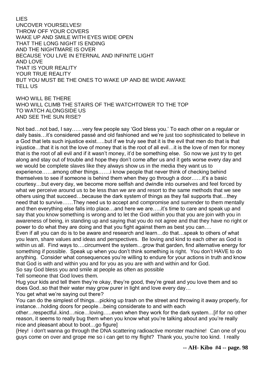#### LIES

UNCOVER YOURSELVES! THROW OFF YOUR COVERS WAKE UP AND SMILE WITH EYES WIDE OPEN THAT THE LONG NIGHT IS ENDING AND THE NIGHTMARE IS OVER BECAUSE YOU LIVE IN ETERNAL AND INFINITE LIGHT AND LOVE THAT IS YOUR REALITY YOUR TRUE REALITY BUT YOU MUST BE THE ONES TO WAKE UP AND BE WIDE AWAKE TELL US

WHO WILL BE THERE WHO WILL CLIMB THE STAIRS OF THE WATCHTOWER TO THE TOP TO WATCH ALONGSIDE US AND SEE THE SUN RISE?

Not bad…not bad, I say……very few people say 'God bless you.' To each other on a regular or daily basis…it's considered passé and old fashioned and we're just too sophisticated to believe in a God that lets such injustice exist…..but if we truly see that it is the evil that men do that is that injustice…that it is not the love of money that is the root of all evil…it is the love of men for money that is the root of all evil and if it wasn't money, it'd be something else. So now we just try to get along and stay out of trouble and hope they don't come after us and it gets worse every day and we would be complete slaves like they always show us in the media they want us to experience……among other things…….i know people that never think of checking behind themselves to see if someone is behind them when they go through a door……it's a basic courtesy…but every day, we become more selfish and dwindle into ourselves and feel forced by what we perceive around us to be less than we are and resort to the same methods that we see others using that succeed…because the dark system of things as they fail supports that…they need that to survive……They need us to accept and compromise and surrender to them mentally and then everything else falls into place…and here we are…..it's time to care and speak up and say that you know something is wrong and to let the God within you that you are join with you in awareness of being, in standing up and saying that you do not agree and that they have no right or power to do what they are doing and that you fight against them as best you can….

Even if all you can do is to be aware and research and learn…do that…speak to others of what you learn, share values and ideas and perspectives. Be loving and kind to each other as God is within us all. Find ways to....circumvent the system...grow that garden, find alternative energy for something if possible. Speak up when you don't think something is right. You don't HAVE to do anything. Consider what consequences you're willing to endure for your actions in truth and know that God is with and within you and for you as you are with and within and for God. So say God bless you and smile at people as often as possible

Tell someone that God loves them.

Hug your kids and tell them they're okay, they're good, they're great and you love them and so does God..so that their water may grow purer in light and love every day…

You get what we're saying out there?

You can do the simplest of things…picking up trash on the street and throwing it away properly, for instance…holding doors for people…being considerate to and with each

other…respectful..kind…nice…loving…..even when they work for the dark system…[if for no other reason, it seems to really bug them when you know what you're talking about and you're really nice and pleasant about to boot…go figure]

{Hey! i don't wanna go through the DNA scattering radioactive monster machine! Can one of you guys come on over and grope me so i can get to my flight? Thank you, you're too kind. I really